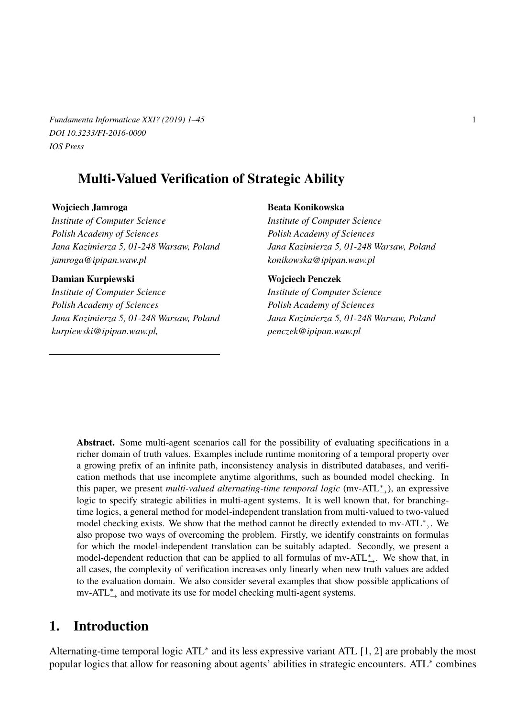*Fundamenta Informaticae XXI? (2019) 1–45* 1 *DOI 10.3233/FI-2016-0000 IOS Press*

# Multi-Valued Verification of Strategic Ability

#### Wojciech Jamroga

*Institute of Computer Science Polish Academy of Sciences Jana Kazimierza 5, 01-248 Warsaw, Poland jamroga@ipipan.waw.pl*

#### Damian Kurpiewski

*Institute of Computer Science Polish Academy of Sciences Jana Kazimierza 5, 01-248 Warsaw, Poland kurpiewski@ipipan.waw.pl,*

#### Beata Konikowska

*Institute of Computer Science Polish Academy of Sciences Jana Kazimierza 5, 01-248 Warsaw, Poland konikowska@ipipan.waw.pl*

### Wojciech Penczek

*Institute of Computer Science Polish Academy of Sciences Jana Kazimierza 5, 01-248 Warsaw, Poland penczek@ipipan.waw.pl*

Abstract. Some multi-agent scenarios call for the possibility of evaluating specifications in a richer domain of truth values. Examples include runtime monitoring of a temporal property over a growing prefix of an infinite path, inconsistency analysis in distributed databases, and verification methods that use incomplete anytime algorithms, such as bounded model checking. In this paper, we present *multi-valued alternating-time temporal logic* (mv-ATL<sup>\*</sup><sub>→</sub>), an expressive logic to specify strategic abilities in multi-agent systems. It is well known that, for branchingtime logics, a general method for model-independent translation from multi-valued to two-valued model checking exists. We show that the method cannot be directly extended to mv-ATL<sup>\*</sup><sub>→</sub>. We also propose two ways of overcoming the problem. Firstly, we identify constraints on formulas for which the model-independent translation can be suitably adapted. Secondly, we present a model-dependent reduction that can be applied to all formulas of mv-ATL<sup>\*</sup><sub>→</sub>. We show that, in all cases, the complexity of verification increases only linearly when new truth values are added to the evaluation domain. We also consider several examples that show possible applications of mv-ATL<sup>∗</sup> <sup>→</sup> and motivate its use for model checking multi-agent systems.

# 1. Introduction

Alternating-time temporal logic ATL<sup>\*</sup> and its less expressive variant ATL [1, 2] are probably the most popular logics that allow for reasoning about agents' abilities in strategic encounters. ATL<sup>\*</sup> combines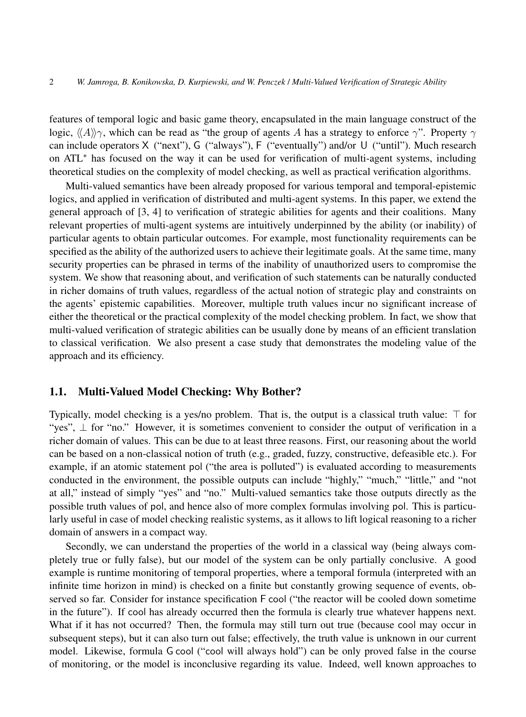features of temporal logic and basic game theory, encapsulated in the main language construct of the logic,  $\langle A \rangle \gamma$ , which can be read as "the group of agents A has a strategy to enforce  $\gamma$ ". Property  $\gamma$ can include operators X ("next"), G ("always"), F ("eventually") and/or U ("until"). Much research on ATL<sup>∗</sup> has focused on the way it can be used for verification of multi-agent systems, including theoretical studies on the complexity of model checking, as well as practical verification algorithms.

Multi-valued semantics have been already proposed for various temporal and temporal-epistemic logics, and applied in verification of distributed and multi-agent systems. In this paper, we extend the general approach of [3, 4] to verification of strategic abilities for agents and their coalitions. Many relevant properties of multi-agent systems are intuitively underpinned by the ability (or inability) of particular agents to obtain particular outcomes. For example, most functionality requirements can be specified as the ability of the authorized users to achieve their legitimate goals. At the same time, many security properties can be phrased in terms of the inability of unauthorized users to compromise the system. We show that reasoning about, and verification of such statements can be naturally conducted in richer domains of truth values, regardless of the actual notion of strategic play and constraints on the agents' epistemic capabilities. Moreover, multiple truth values incur no significant increase of either the theoretical or the practical complexity of the model checking problem. In fact, we show that multi-valued verification of strategic abilities can be usually done by means of an efficient translation to classical verification. We also present a case study that demonstrates the modeling value of the approach and its efficiency.

# 1.1. Multi-Valued Model Checking: Why Bother?

Typically, model checking is a yes/no problem. That is, the output is a classical truth value:  $\top$  for "yes", ⊥ for "no." However, it is sometimes convenient to consider the output of verification in a richer domain of values. This can be due to at least three reasons. First, our reasoning about the world can be based on a non-classical notion of truth (e.g., graded, fuzzy, constructive, defeasible etc.). For example, if an atomic statement pol ("the area is polluted") is evaluated according to measurements conducted in the environment, the possible outputs can include "highly," "much," "little," and "not at all," instead of simply "yes" and "no." Multi-valued semantics take those outputs directly as the possible truth values of pol, and hence also of more complex formulas involving pol. This is particularly useful in case of model checking realistic systems, as it allows to lift logical reasoning to a richer domain of answers in a compact way.

Secondly, we can understand the properties of the world in a classical way (being always completely true or fully false), but our model of the system can be only partially conclusive. A good example is runtime monitoring of temporal properties, where a temporal formula (interpreted with an infinite time horizon in mind) is checked on a finite but constantly growing sequence of events, observed so far. Consider for instance specification F cool ("the reactor will be cooled down sometime in the future"). If cool has already occurred then the formula is clearly true whatever happens next. What if it has not occurred? Then, the formula may still turn out true (because cool may occur in subsequent steps), but it can also turn out false; effectively, the truth value is unknown in our current model. Likewise, formula G cool ("cool will always hold") can be only proved false in the course of monitoring, or the model is inconclusive regarding its value. Indeed, well known approaches to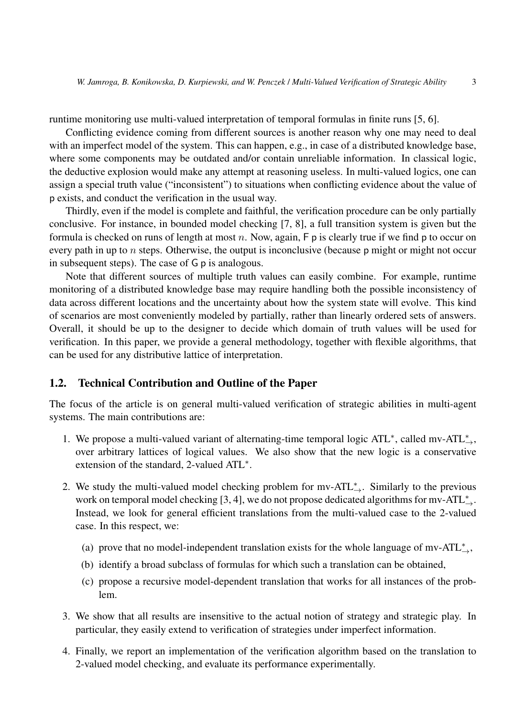runtime monitoring use multi-valued interpretation of temporal formulas in finite runs [5, 6].

Conflicting evidence coming from different sources is another reason why one may need to deal with an imperfect model of the system. This can happen, e.g., in case of a distributed knowledge base, where some components may be outdated and/or contain unreliable information. In classical logic, the deductive explosion would make any attempt at reasoning useless. In multi-valued logics, one can assign a special truth value ("inconsistent") to situations when conflicting evidence about the value of p exists, and conduct the verification in the usual way.

Thirdly, even if the model is complete and faithful, the verification procedure can be only partially conclusive. For instance, in bounded model checking [7, 8], a full transition system is given but the formula is checked on runs of length at most n. Now, again,  $F$  p is clearly true if we find p to occur on every path in up to  $n$  steps. Otherwise, the output is inconclusive (because p might or might not occur in subsequent steps). The case of G p is analogous.

Note that different sources of multiple truth values can easily combine. For example, runtime monitoring of a distributed knowledge base may require handling both the possible inconsistency of data across different locations and the uncertainty about how the system state will evolve. This kind of scenarios are most conveniently modeled by partially, rather than linearly ordered sets of answers. Overall, it should be up to the designer to decide which domain of truth values will be used for verification. In this paper, we provide a general methodology, together with flexible algorithms, that can be used for any distributive lattice of interpretation.

# 1.2. Technical Contribution and Outline of the Paper

The focus of the article is on general multi-valued verification of strategic abilities in multi-agent systems. The main contributions are:

- 1. We propose a multi-valued variant of alternating-time temporal logic ATL<sup>\*</sup>, called mv-ATL<sup>\*</sup><sub>→</sub>, over arbitrary lattices of logical values. We also show that the new logic is a conservative extension of the standard, 2-valued ATL<sup>\*</sup>.
- 2. We study the multi-valued model checking problem for mv-ATL<sup>\*</sup><sub>→</sub>. Similarly to the previous work on temporal model checking [3, 4], we do not propose dedicated algorithms for mv-ATL $^*_{\rightarrow}$ . Instead, we look for general efficient translations from the multi-valued case to the 2-valued case. In this respect, we:
	- (a) prove that no model-independent translation exists for the whole language of mv-ATL<sup>\*</sup><sub>→</sub>,
	- (b) identify a broad subclass of formulas for which such a translation can be obtained,
	- (c) propose a recursive model-dependent translation that works for all instances of the problem.
- 3. We show that all results are insensitive to the actual notion of strategy and strategic play. In particular, they easily extend to verification of strategies under imperfect information.
- 4. Finally, we report an implementation of the verification algorithm based on the translation to 2-valued model checking, and evaluate its performance experimentally.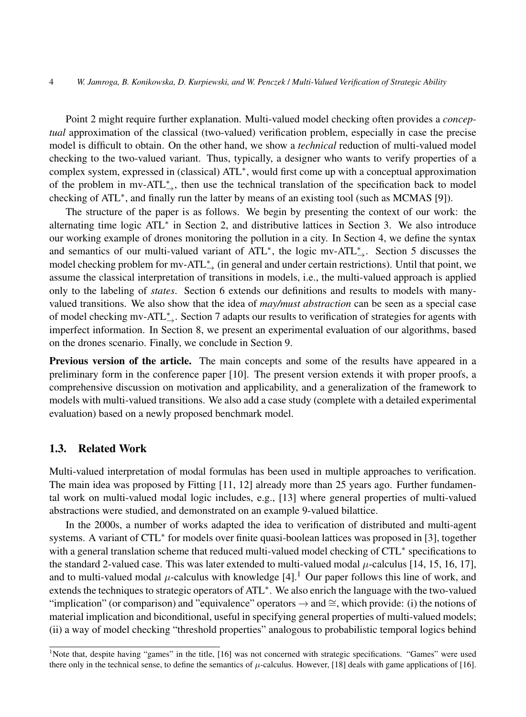Point 2 might require further explanation. Multi-valued model checking often provides a *conceptual* approximation of the classical (two-valued) verification problem, especially in case the precise model is difficult to obtain. On the other hand, we show a *technical* reduction of multi-valued model checking to the two-valued variant. Thus, typically, a designer who wants to verify properties of a complex system, expressed in (classical) ATL<sup>∗</sup> , would first come up with a conceptual approximation of the problem in mv-ATL<sup>\*</sup>, then use the technical translation of the specification back to model checking of ATL<sup>\*</sup>, and finally run the latter by means of an existing tool (such as MCMAS [9]).

The structure of the paper is as follows. We begin by presenting the context of our work: the alternating time logic ATL<sup>∗</sup> in Section 2, and distributive lattices in Section 3. We also introduce our working example of drones monitoring the pollution in a city. In Section 4, we define the syntax and semantics of our multi-valued variant of ATL<sup>\*</sup>, the logic mv-ATL<sup>\*</sup><sub>→</sub>. Section 5 discusses the model checking problem for mv-ATL<sup>\*</sup>, (in general and under certain restrictions). Until that point, we assume the classical interpretation of transitions in models, i.e., the multi-valued approach is applied only to the labeling of *states*. Section 6 extends our definitions and results to models with manyvalued transitions. We also show that the idea of *may/must abstraction* can be seen as a special case of model checking mv-ATL<sup>\*</sup>, Section 7 adapts our results to verification of strategies for agents with imperfect information. In Section 8, we present an experimental evaluation of our algorithms, based on the drones scenario. Finally, we conclude in Section 9.

Previous version of the article. The main concepts and some of the results have appeared in a preliminary form in the conference paper [10]. The present version extends it with proper proofs, a comprehensive discussion on motivation and applicability, and a generalization of the framework to models with multi-valued transitions. We also add a case study (complete with a detailed experimental evaluation) based on a newly proposed benchmark model.

# 1.3. Related Work

Multi-valued interpretation of modal formulas has been used in multiple approaches to verification. The main idea was proposed by Fitting [11, 12] already more than 25 years ago. Further fundamental work on multi-valued modal logic includes, e.g., [13] where general properties of multi-valued abstractions were studied, and demonstrated on an example 9-valued bilattice.

In the 2000s, a number of works adapted the idea to verification of distributed and multi-agent systems. A variant of CTL<sup>\*</sup> for models over finite quasi-boolean lattices was proposed in [3], together with a general translation scheme that reduced multi-valued model checking of CTL<sup>\*</sup> specifications to the standard 2-valued case. This was later extended to multi-valued modal  $\mu$ -calculus [14, 15, 16, 17], and to multi-valued modal  $\mu$ -calculus with knowledge [4].<sup>1</sup> Our paper follows this line of work, and extends the techniques to strategic operators of ATL<sup>\*</sup>. We also enrich the language with the two-valued "implication" (or comparison) and "equivalence" operators  $\rightarrow$  and  $\cong$ , which provide: (i) the notions of material implication and biconditional, useful in specifying general properties of multi-valued models; (ii) a way of model checking "threshold properties" analogous to probabilistic temporal logics behind

<sup>&</sup>lt;sup>1</sup>Note that, despite having "games" in the title, [16] was not concerned with strategic specifications. "Games" were used there only in the technical sense, to define the semantics of  $\mu$ -calculus. However, [18] deals with game applications of [16].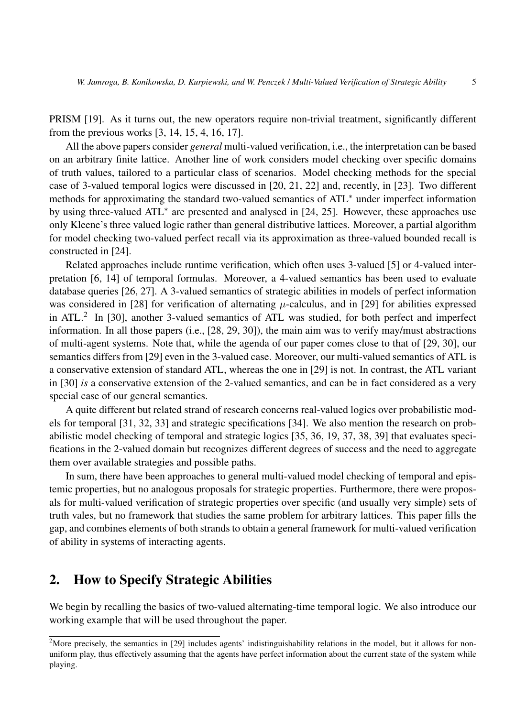PRISM [19]. As it turns out, the new operators require non-trivial treatment, significantly different from the previous works [3, 14, 15, 4, 16, 17].

All the above papers consider *general* multi-valued verification, i.e., the interpretation can be based on an arbitrary finite lattice. Another line of work considers model checking over specific domains of truth values, tailored to a particular class of scenarios. Model checking methods for the special case of 3-valued temporal logics were discussed in [20, 21, 22] and, recently, in [23]. Two different methods for approximating the standard two-valued semantics of ATL<sup>∗</sup> under imperfect information by using three-valued ATL<sup>\*</sup> are presented and analysed in [24, 25]. However, these approaches use only Kleene's three valued logic rather than general distributive lattices. Moreover, a partial algorithm for model checking two-valued perfect recall via its approximation as three-valued bounded recall is constructed in [24].

Related approaches include runtime verification, which often uses 3-valued [5] or 4-valued interpretation [6, 14] of temporal formulas. Moreover, a 4-valued semantics has been used to evaluate database queries [26, 27]. A 3-valued semantics of strategic abilities in models of perfect information was considered in [28] for verification of alternating  $\mu$ -calculus, and in [29] for abilities expressed in ATL.<sup>2</sup> In [30], another 3-valued semantics of ATL was studied, for both perfect and imperfect information. In all those papers (i.e., [28, 29, 30]), the main aim was to verify may/must abstractions of multi-agent systems. Note that, while the agenda of our paper comes close to that of [29, 30], our semantics differs from [29] even in the 3-valued case. Moreover, our multi-valued semantics of ATL is a conservative extension of standard ATL, whereas the one in [29] is not. In contrast, the ATL variant in [30] *is* a conservative extension of the 2-valued semantics, and can be in fact considered as a very special case of our general semantics.

A quite different but related strand of research concerns real-valued logics over probabilistic models for temporal [31, 32, 33] and strategic specifications [34]. We also mention the research on probabilistic model checking of temporal and strategic logics [35, 36, 19, 37, 38, 39] that evaluates specifications in the 2-valued domain but recognizes different degrees of success and the need to aggregate them over available strategies and possible paths.

In sum, there have been approaches to general multi-valued model checking of temporal and epistemic properties, but no analogous proposals for strategic properties. Furthermore, there were proposals for multi-valued verification of strategic properties over specific (and usually very simple) sets of truth vales, but no framework that studies the same problem for arbitrary lattices. This paper fills the gap, and combines elements of both strands to obtain a general framework for multi-valued verification of ability in systems of interacting agents.

# 2. How to Specify Strategic Abilities

We begin by recalling the basics of two-valued alternating-time temporal logic. We also introduce our working example that will be used throughout the paper.

 $2^2$ More precisely, the semantics in [29] includes agents' indistinguishability relations in the model, but it allows for nonuniform play, thus effectively assuming that the agents have perfect information about the current state of the system while playing.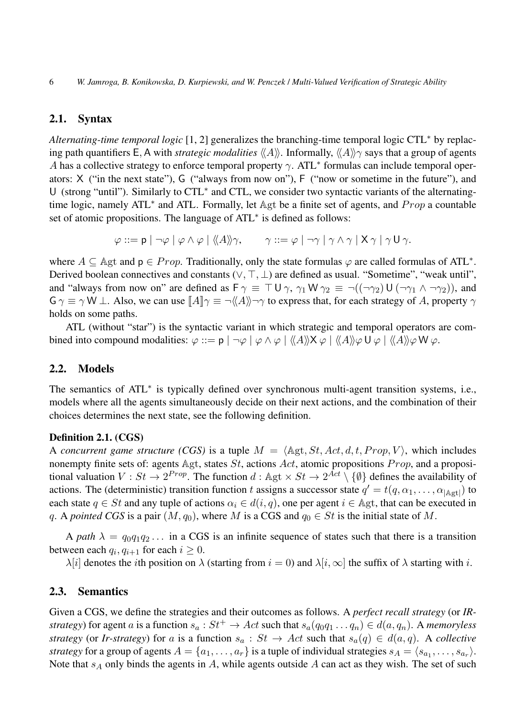# 2.1. Syntax

*Alternating-time temporal logic* [1, 2] generalizes the branching-time temporal logic CTL<sup>∗</sup> by replacing path quantifiers E, A with *strategic modalities*  $\langle A \rangle$ . Informally,  $\langle A \rangle$ <sub>7</sub> says that a group of agents A has a collective strategy to enforce temporal property  $\gamma$ . ATL\* formulas can include temporal operators: X ("in the next state"), G ("always from now on"), F ("now or sometime in the future"), and U (strong "until"). Similarly to CTL<sup>\*</sup> and CTL, we consider two syntactic variants of the alternatingtime logic, namely ATL<sup>\*</sup> and ATL. Formally, let  $\mathbb{A}$ gt be a finite set of agents, and  $Prop$  a countable set of atomic propositions. The language of ATL<sup>\*</sup> is defined as follows:

$$
\varphi ::= \mathsf{p} \mid \neg \varphi \mid \varphi \land \varphi \mid \langle \langle A \rangle \rangle \gamma, \qquad \gamma ::= \varphi \mid \neg \gamma \mid \gamma \land \gamma \mid \mathsf{X} \gamma \mid \gamma \mathsf{U} \gamma.
$$

where  $A \subseteq$  Agt and  $p \in Prop$ . Traditionally, only the state formulas  $\varphi$  are called formulas of ATL<sup>\*</sup>. Derived boolean connectives and constants ( $\vee$ ,  $\top$ ,  $\bot$ ) are defined as usual. "Sometime", "weak until", and "always from now on" are defined as  $F \gamma \equiv \top U \gamma$ ,  $\gamma_1 W \gamma_2 \equiv \neg((\neg \gamma_2) U (\neg \gamma_1 \land \neg \gamma_2))$ , and  $G \gamma \equiv \gamma W \perp$ . Also, we can use  $\llbracket A \rrbracket \gamma \equiv \neg \langle \langle A \rangle \rangle \neg \gamma$  to express that, for each strategy of A, property  $\gamma$ holds on some paths.

ATL (without "star") is the syntactic variant in which strategic and temporal operators are combined into compound modalities:  $\varphi ::= \mathbf{p} \mid \neg \varphi \mid \varphi \land \varphi \mid \langle \langle A \rangle \rangle \varphi \lor \varphi \mid \langle \langle A \rangle \rangle \varphi \lor \varphi$ .

# 2.2. Models

The semantics of ATL<sup>\*</sup> is typically defined over synchronous multi-agent transition systems, i.e., models where all the agents simultaneously decide on their next actions, and the combination of their choices determines the next state, see the following definition.

#### Definition 2.1. (CGS)

A *concurrent game structure (CGS)* is a tuple  $M = \langle \text{Agt}, St, Act, d, t, Prop, V \rangle$ , which includes nonempty finite sets of: agents  $\Delta gt$ , states  $St$ , actions  $Act$ , atomic propositions  $Prop$ , and a propositional valuation  $V: St \to 2^{Prop}$ . The function  $d: \mathbb{Agt} \times St \to 2^{Act} \setminus \{\emptyset\}$  defines the availability of actions. The (deterministic) transition function t assigns a successor state  $q' = t(q, \alpha_1, \dots, \alpha_{|\text{Agt}|})$  to each state  $q \in St$  and any tuple of actions  $\alpha_i \in d(i, q)$ , one per agent  $i \in \mathbb{A}$ gt, that can be executed in q. A *pointed CGS* is a pair  $(M, q_0)$ , where M is a CGS and  $q_0 \in St$  is the initial state of M.

A *path*  $\lambda = q_0 q_1 q_2 \dots$  in a CGS is an infinite sequence of states such that there is a transition between each  $q_i, q_{i+1}$  for each  $i \geq 0$ .

 $\lambda[i]$  denotes the *i*th position on  $\lambda$  (starting from  $i = 0$ ) and  $\lambda[i, \infty]$  the suffix of  $\lambda$  starting with *i*.

# 2.3. Semantics

Given a CGS, we define the strategies and their outcomes as follows. A *perfect recall strategy* (or *IRstrategy*) for agent a is a function  $s_a : St^+ \to Act$  such that  $s_a(q_0q_1 \ldots q_n) \in d(a,q_n)$ . A *memoryless strategy* (or *Ir-strategy*) for a is a function  $s_a : St \to Act$  such that  $s_a(q) \in d(a,q)$ . A *collective strategy* for a group of agents  $A = \{a_1, \ldots, a_r\}$  is a tuple of individual strategies  $s_A = \langle s_{a_1}, \ldots, s_{a_r} \rangle$ . Note that  $s_A$  only binds the agents in A, while agents outside A can act as they wish. The set of such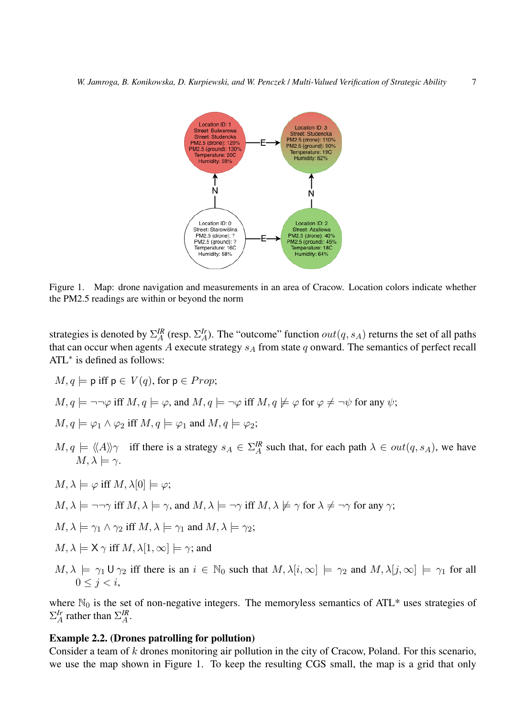

Figure 1. Map: drone navigation and measurements in an area of Cracow. Location colors indicate whether the PM2.5 readings are within or beyond the norm

strategies is denoted by  $\Sigma_A^R$  (resp.  $\Sigma_A^R$ ). The "outcome" function  $out(q, s_A)$  returns the set of all paths that can occur when agents A execute strategy  $s_A$  from state q onward. The semantics of perfect recall ATL<sup>∗</sup> is defined as follows:

- $M, q \models p$  iff  $p \in V(q)$ , for  $p \in Prop;$
- $M, q \models \neg \neg \varphi$  iff  $M, q \models \varphi$ , and  $M, q \models \neg \varphi$  iff  $M, q \not\models \varphi$  for  $\varphi \neq \neg \psi$  for any  $\psi$ ;
- $M, q \models \varphi_1 \land \varphi_2$  iff  $M, q \models \varphi_1$  and  $M, q \models \varphi_2$ ;
- $M, q \models \langle \langle A \rangle \rangle \gamma$  iff there is a strategy  $s_A \in \Sigma^{\text{IR}}_A$  such that, for each path  $\lambda \in out(q, s_A)$ , we have  $M, \lambda \models \gamma$ .
- $M, \lambda \models \varphi$  iff  $M, \lambda[0] \models \varphi;$
- $M, \lambda \models \neg \neg \gamma$  iff  $M, \lambda \models \gamma$ , and  $M, \lambda \models \neg \gamma$  iff  $M, \lambda \not\models \gamma$  for  $\lambda \neq \neg \gamma$  for any  $\gamma$ ;
- $M, \lambda \models \gamma_1 \wedge \gamma_2$  iff  $M, \lambda \models \gamma_1$  and  $M, \lambda \models \gamma_2$ ;
- $M, \lambda \models X \gamma$  iff  $M, \lambda[1, \infty] \models \gamma$ ; and
- $M, \lambda \models \gamma_1 \cup \gamma_2$  iff there is an  $i \in \mathbb{N}_0$  such that  $M, \lambda[i, \infty] \models \gamma_2$  and  $M, \lambda[j, \infty] \models \gamma_1$  for all  $0 \leq i \leq i$

where  $\mathbb{N}_0$  is the set of non-negative integers. The memoryless semantics of ATL\* uses strategies of  $\Sigma_A^{Ir}$  rather than  $\Sigma_A^{IR}$ .

#### Example 2.2. (Drones patrolling for pollution)

Consider a team of k drones monitoring air pollution in the city of Cracow, Poland. For this scenario, we use the map shown in Figure 1. To keep the resulting CGS small, the map is a grid that only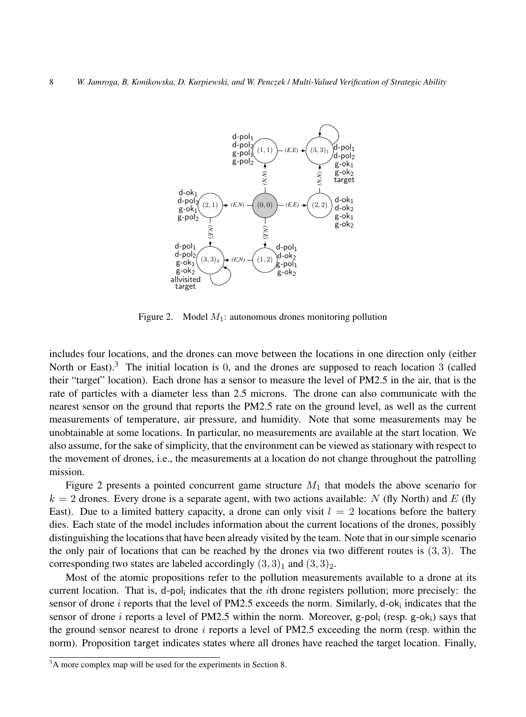

Figure 2. Model  $M_1$ : autonomous drones monitoring pollution

includes four locations, and the drones can move between the locations in one direction only (either North or East).<sup>3</sup> The initial location is 0, and the drones are supposed to reach location 3 (called their "target" location). Each drone has a sensor to measure the level of PM2.5 in the air, that is the rate of particles with a diameter less than 2.5 microns. The drone can also communicate with the nearest sensor on the ground that reports the PM2.5 rate on the ground level, as well as the current measurements of temperature, air pressure, and humidity. Note that some measurements may be unobtainable at some locations. In particular, no measurements are available at the start location. We also assume, for the sake of simplicity, that the environment can be viewed as stationary with respect to the movement of drones, i.e., the measurements at a location do not change throughout the patrolling mission.

Figure 2 presents a pointed concurrent game structure  $M_1$  that models the above scenario for  $k = 2$  drones. Every drone is a separate agent, with two actions available: N (fly North) and E (fly East). Due to a limited battery capacity, a drone can only visit  $l = 2$  locations before the battery dies. Each state of the model includes information about the current locations of the drones, possibly distinguishing the locations that have been already visited by the team. Note that in our simple scenario the only pair of locations that can be reached by the drones via two different routes is  $(3, 3)$ . The corresponding two states are labeled accordingly  $(3,3)_1$  and  $(3,3)_2$ .

Most of the atomic propositions refer to the pollution measurements available to a drone at its current location. That is, d-pol<sub>i</sub> indicates that the *i*th drone registers pollution; more precisely: the sensor of drone  $i$  reports that the level of PM2.5 exceeds the norm. Similarly, d-ok<sub>i</sub> indicates that the sensor of drone i reports a level of PM2.5 within the norm. Moreover, g-pol<sub>i</sub> (resp. g-ok<sub>i</sub>) says that the ground sensor nearest to drone  $i$  reports a level of PM2.5 exceeding the norm (resp. within the norm). Proposition target indicates states where all drones have reached the target location. Finally,

<sup>&</sup>lt;sup>3</sup>A more complex map will be used for the experiments in Section 8.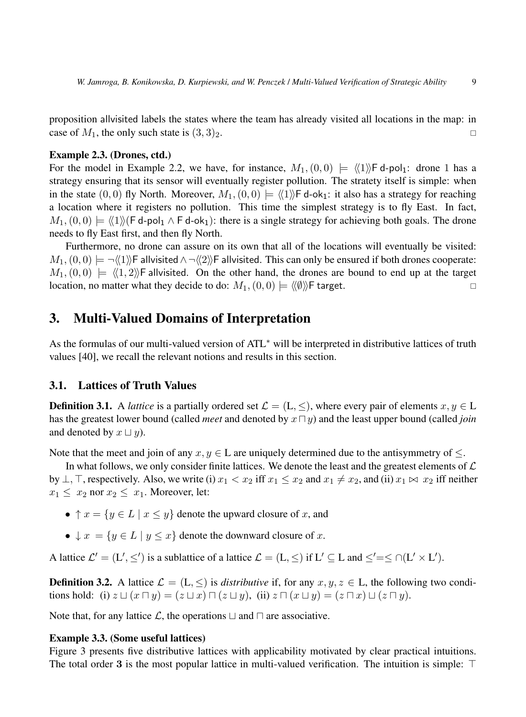proposition allvisited labels the states where the team has already visited all locations in the map: in case of  $M_1$ , the only such state is  $(3, 3)_2$ .

# Example 2.3. (Drones, ctd.)

For the model in Example 2.2, we have, for instance,  $M_1$ ,  $(0, 0) \models \langle \langle 1 \rangle \rangle$ F d-pol<sub>1</sub>: drone 1 has a strategy ensuring that its sensor will eventually register pollution. The stratety itself is simple: when in the state (0, 0) fly North. Moreover,  $M_1$ , (0, 0)  $\models \langle \langle 1 \rangle \rangle \vdash d$ -ok<sub>1</sub>: it also has a strategy for reaching a location where it registers no pollution. This time the simplest strategy is to fly East. In fact,  $M_1$ ,  $(0, 0) \models \langle \langle 1 \rangle \rangle$ (F d-pol<sub>1</sub>  $\wedge$  F d-ok<sub>1</sub>): there is a single strategy for achieving both goals. The drone needs to fly East first, and then fly North.

Furthermore, no drone can assure on its own that all of the locations will eventually be visited:  $M_1$ ,  $(0, 0) \models \neg \langle \langle 1 \rangle \rangle$ F allvisited∧  $\neg \langle \langle 2 \rangle \rangle$ F allvisited. This can only be ensured if both drones cooperate:  $M_1$ ,  $(0, 0) \models \langle \langle 1, 2 \rangle \rangle$ F allvisited. On the other hand, the drones are bound to end up at the target location, no matter what they decide to do:  $M_1$ ,  $(0, 0) \models \langle \emptyset \rangle$ F target.

# 3. Multi-Valued Domains of Interpretation

As the formulas of our multi-valued version of ATL<sup>∗</sup> will be interpreted in distributive lattices of truth values [40], we recall the relevant notions and results in this section.

# 3.1. Lattices of Truth Values

**Definition 3.1.** A *lattice* is a partially ordered set  $\mathcal{L} = (L, \leq)$ , where every pair of elements  $x, y \in L$ has the greatest lower bound (called *meet* and denoted by  $x \sqcap y$ ) and the least upper bound (called *join* and denoted by  $x \sqcup y$ ).

Note that the meet and join of any  $x, y \in L$  are uniquely determined due to the antisymmetry of  $\leq$ .

In what follows, we only consider finite lattices. We denote the least and the greatest elements of  $\mathcal L$ by  $\perp$ ,  $\top$ , respectively. Also, we write (i)  $x_1 < x_2$  iff  $x_1 \le x_2$  and  $x_1 \ne x_2$ , and (ii)  $x_1 \bowtie x_2$  iff neither  $x_1 \leq x_2$  nor  $x_2 \leq x_1$ . Moreover, let:

- $\uparrow x = \{y \in L \mid x \leq y\}$  denote the upward closure of x, and
- $\downarrow x = \{y \in L \mid y \leq x\}$  denote the downward closure of x.

A lattice  $\mathcal{L}' = (L', \leq')$  is a sublattice of a lattice  $\mathcal{L} = (L, \leq)$  if  $L' \subseteq L$  and  $\leq' = \leq \cap (L' \times L')$ .

**Definition 3.2.** A lattice  $\mathcal{L} = (L, \leq)$  is *distributive* if, for any  $x, y, z \in L$ , the following two conditions hold: (i)  $z \sqcup (x \sqcap y) = (z \sqcup x) \sqcap (z \sqcup y)$ , (ii)  $z \sqcap (x \sqcup y) = (z \sqcap x) \sqcup (z \sqcap y)$ .

Note that, for any lattice  $\mathcal{L}$ , the operations  $\sqcup$  and  $\sqcap$  are associative.

#### Example 3.3. (Some useful lattices)

Figure 3 presents five distributive lattices with applicability motivated by clear practical intuitions. The total order 3 is the most popular lattice in multi-valued verification. The intuition is simple:  $\top$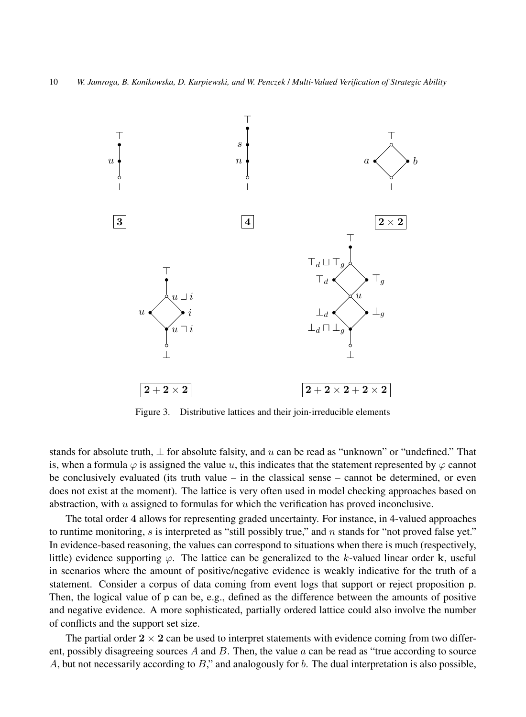

Figure 3. Distributive lattices and their join-irreducible elements

stands for absolute truth,  $\perp$  for absolute falsity, and u can be read as "unknown" or "undefined." That is, when a formula  $\varphi$  is assigned the value u, this indicates that the statement represented by  $\varphi$  cannot be conclusively evaluated (its truth value – in the classical sense – cannot be determined, or even does not exist at the moment). The lattice is very often used in model checking approaches based on abstraction, with  $u$  assigned to formulas for which the verification has proved inconclusive.

The total order 4 allows for representing graded uncertainty. For instance, in 4-valued approaches to runtime monitoring, s is interpreted as "still possibly true," and n stands for "not proved false yet." In evidence-based reasoning, the values can correspond to situations when there is much (respectively, little) evidence supporting  $\varphi$ . The lattice can be generalized to the k-valued linear order k, useful in scenarios where the amount of positive/negative evidence is weakly indicative for the truth of a statement. Consider a corpus of data coming from event logs that support or reject proposition p. Then, the logical value of p can be, e.g., defined as the difference between the amounts of positive and negative evidence. A more sophisticated, partially ordered lattice could also involve the number of conflicts and the support set size.

The partial order  $2 \times 2$  can be used to interpret statements with evidence coming from two different, possibly disagreeing sources A and B. Then, the value  $\alpha$  can be read as "true according to source A, but not necessarily according to B," and analogously for b. The dual interpretation is also possible,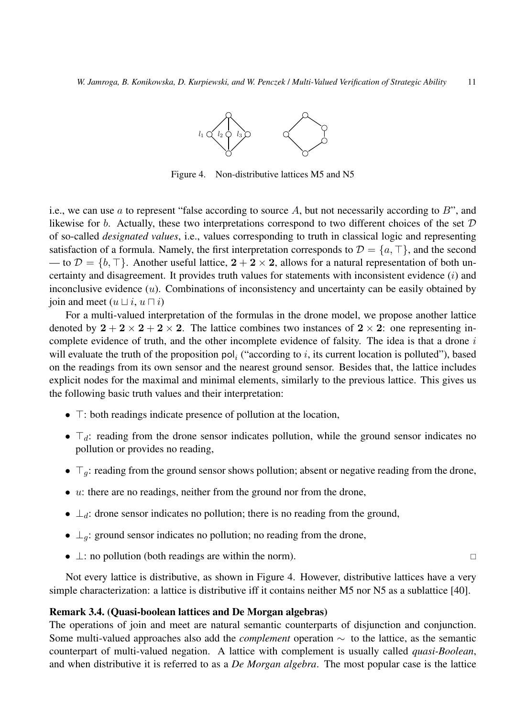

Figure 4. Non-distributive lattices M5 and N5

i.e., we can use a to represent "false according to source A, but not necessarily according to  $B$ ", and likewise for b. Actually, these two interpretations correspond to two different choices of the set  $D$ of so-called *designated values*, i.e., values corresponding to truth in classical logic and representing satisfaction of a formula. Namely, the first interpretation corresponds to  $\mathcal{D} = \{a, \top\}$ , and the second — to  $\mathcal{D} = \{b, \top\}$ . Another useful lattice,  $2 + 2 \times 2$ , allows for a natural representation of both uncertainty and disagreement. It provides truth values for statements with inconsistent evidence (i) and inconclusive evidence  $(u)$ . Combinations of inconsistency and uncertainty can be easily obtained by join and meet  $(u \sqcup i, u \sqcap i)$ 

For a multi-valued interpretation of the formulas in the drone model, we propose another lattice denoted by  $2 + 2 \times 2 + 2 \times 2$ . The lattice combines two instances of  $2 \times 2$ : one representing incomplete evidence of truth, and the other incomplete evidence of falsity. The idea is that a drone  $i$ will evaluate the truth of the proposition  $pol<sub>i</sub>$  ("according to *i*, its current location is polluted"), based on the readings from its own sensor and the nearest ground sensor. Besides that, the lattice includes explicit nodes for the maximal and minimal elements, similarly to the previous lattice. This gives us the following basic truth values and their interpretation:

- $\bullet$   $\top$ : both readings indicate presence of pollution at the location,
- $\top_d$ : reading from the drone sensor indicates pollution, while the ground sensor indicates no pollution or provides no reading,
- $\top$ <sub>q</sub>: reading from the ground sensor shows pollution; absent or negative reading from the drone,
- $\bullet$  u: there are no readings, neither from the ground nor from the drone,
- $\perp_d$ : drone sensor indicates no pollution; there is no reading from the ground,
- $\perp_g$ : ground sensor indicates no pollution; no reading from the drone,
- ⊥: no pollution (both readings are within the norm).

Not every lattice is distributive, as shown in Figure 4. However, distributive lattices have a very simple characterization: a lattice is distributive iff it contains neither M5 nor N5 as a sublattice [40].

#### Remark 3.4. (Quasi-boolean lattices and De Morgan algebras)

The operations of join and meet are natural semantic counterparts of disjunction and conjunction. Some multi-valued approaches also add the *complement* operation ∼ to the lattice, as the semantic counterpart of multi-valued negation. A lattice with complement is usually called *quasi-Boolean*, and when distributive it is referred to as a *De Morgan algebra*. The most popular case is the lattice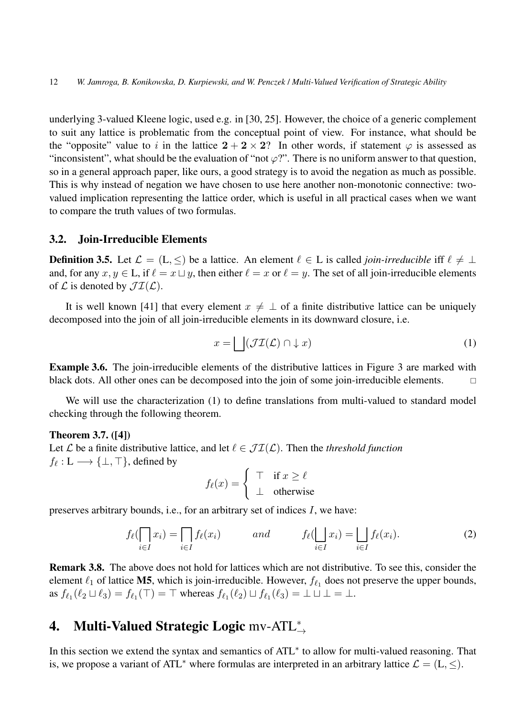underlying 3-valued Kleene logic, used e.g. in [30, 25]. However, the choice of a generic complement to suit any lattice is problematic from the conceptual point of view. For instance, what should be the "opposite" value to i in the lattice  $2 + 2 \times 2$ ? In other words, if statement  $\varphi$  is assessed as "inconsistent", what should be the evaluation of "not  $\varphi$ ?". There is no uniform answer to that question, so in a general approach paper, like ours, a good strategy is to avoid the negation as much as possible. This is why instead of negation we have chosen to use here another non-monotonic connective: twovalued implication representing the lattice order, which is useful in all practical cases when we want to compare the truth values of two formulas.

# 3.2. Join-Irreducible Elements

**Definition 3.5.** Let  $\mathcal{L} = (L, \leq)$  be a lattice. An element  $\ell \in L$  is called *join-irreducible* iff  $\ell \neq \perp$ and, for any  $x, y \in L$ , if  $\ell = x \sqcup y$ , then either  $\ell = x$  or  $\ell = y$ . The set of all join-irreducible elements of  $\mathcal L$  is denoted by  $\mathcal{JI}(\mathcal{L})$ .

It is well known [41] that every element  $x \neq \perp$  of a finite distributive lattice can be uniquely decomposed into the join of all join-irreducible elements in its downward closure, i.e.

$$
x = \bigsqcup (\mathcal{J}\mathcal{I}(\mathcal{L}) \cap \downarrow x) \tag{1}
$$

Example 3.6. The join-irreducible elements of the distributive lattices in Figure 3 are marked with black dots. All other ones can be decomposed into the join of some join-irreducible elements.

We will use the characterization (1) to define translations from multi-valued to standard model checking through the following theorem.

#### Theorem 3.7. ([4])

Let  $\mathcal L$  be a finite distributive lattice, and let  $\ell \in \mathcal{JI}(\mathcal{L})$ . Then the *threshold function*  $f_\ell : \mathrm{L} \longrightarrow \{\bot, \top\},$  defined by

$$
f_{\ell}(x) = \begin{cases} \top & \text{if } x \geq \ell \\ \bot & \text{otherwise} \end{cases}
$$

preserves arbitrary bounds, i.e., for an arbitrary set of indices I, we have:

$$
f_{\ell}(\bigcap_{i\in I} x_i) = \bigcap_{i\in I} f_{\ell}(x_i) \qquad \text{and} \qquad f_{\ell}(\bigcup_{i\in I} x_i) = \bigcup_{i\in I} f_{\ell}(x_i). \tag{2}
$$

Remark 3.8. The above does not hold for lattices which are not distributive. To see this, consider the element  $\ell_1$  of lattice M5, which is join-irreducible. However,  $f_{\ell_1}$  does not preserve the upper bounds, as  $f_{\ell_1}(\ell_2 \sqcup \ell_3) = f_{\ell_1}(\top) = \top$  whereas  $f_{\ell_1}(\ell_2) \sqcup f_{\ell_1}(\ell_3) = \bot \sqcup \bot = \bot$ .

# 4. Multi-Valued Strategic Logic mv-ATL<sup>\*</sup>

In this section we extend the syntax and semantics of ATL<sup>∗</sup> to allow for multi-valued reasoning. That is, we propose a variant of ATL<sup>\*</sup> where formulas are interpreted in an arbitrary lattice  $\mathcal{L} = (L, \leq)$ .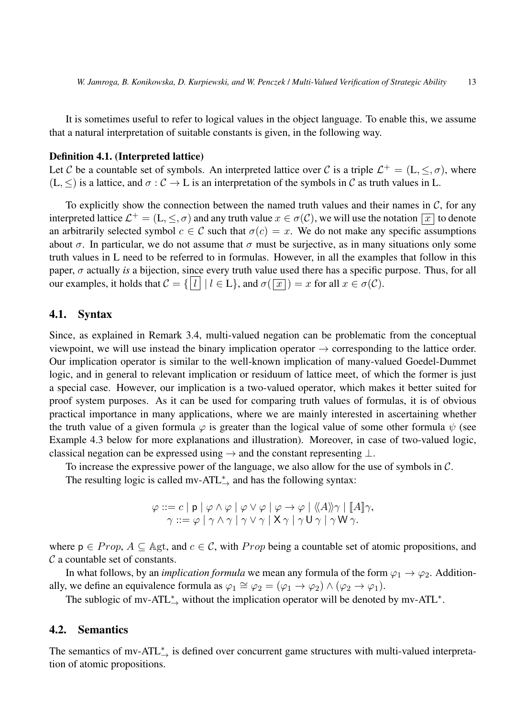It is sometimes useful to refer to logical values in the object language. To enable this, we assume that a natural interpretation of suitable constants is given, in the following way.

#### Definition 4.1. (Interpreted lattice)

Let C be a countable set of symbols. An interpreted lattice over C is a triple  $\mathcal{L}^+ = (L, \leq, \sigma)$ , where  $(L, <)$  is a lattice, and  $\sigma : C \to L$  is an interpretation of the symbols in C as truth values in L.

To explicitly show the connection between the named truth values and their names in  $\mathcal{C}$ , for any interpreted lattice  $\mathcal{L}^+ = (L, \leq, \sigma)$  and any truth value  $x \in \sigma(\mathcal{C})$ , we will use the notation  $\boxed{x}$  to denote an arbitrarily selected symbol  $c \in \mathcal{C}$  such that  $\sigma(c) = x$ . We do not make any specific assumptions about  $\sigma$ . In particular, we do not assume that  $\sigma$  must be surjective, as in many situations only some truth values in L need to be referred to in formulas. However, in all the examples that follow in this paper,  $\sigma$  actually *is* a bijection, since every truth value used there has a specific purpose. Thus, for all our examples, it holds that  $C = \{ [l] | l \in L \}$ , and  $\sigma([x]) = x$  for all  $x \in \sigma(C)$ .

# 4.1. Syntax

Since, as explained in Remark 3.4, multi-valued negation can be problematic from the conceptual viewpoint, we will use instead the binary implication operator  $\rightarrow$  corresponding to the lattice order. Our implication operator is similar to the well-known implication of many-valued Goedel-Dummet logic, and in general to relevant implication or residuum of lattice meet, of which the former is just a special case. However, our implication is a two-valued operator, which makes it better suited for proof system purposes. As it can be used for comparing truth values of formulas, it is of obvious practical importance in many applications, where we are mainly interested in ascertaining whether the truth value of a given formula  $\varphi$  is greater than the logical value of some other formula  $\psi$  (see Example 4.3 below for more explanations and illustration). Moreover, in case of two-valued logic, classical negation can be expressed using  $\rightarrow$  and the constant representing  $\bot$ .

To increase the expressive power of the language, we also allow for the use of symbols in C.

The resulting logic is called mv-ATL<sup>\*</sup> $\rightarrow$  and has the following syntax:

$$
\varphi ::= c | \mathbf{p} | \varphi \wedge \varphi | \varphi \vee \varphi | \varphi \rightarrow \varphi | \langle\!\langle A \rangle\!\rangle \gamma | [A] \gamma,
$$
  

$$
\gamma ::= \varphi | \gamma \wedge \gamma | \gamma \vee \gamma | X \gamma | \gamma U \gamma | \gamma W \gamma.
$$

where  $p \in Prop$ ,  $A \subseteq \mathbb{A}$ gt, and  $c \in \mathcal{C}$ , with Prop being a countable set of atomic propositions, and  $\mathcal C$  a countable set of constants.

In what follows, by an *implication formula* we mean any formula of the form  $\varphi_1 \to \varphi_2$ . Additionally, we define an equivalence formula as  $\varphi_1 \cong \varphi_2 = (\varphi_1 \to \varphi_2) \wedge (\varphi_2 \to \varphi_1)$ .

The sublogic of mv-ATL<sup>\*</sup>, without the implication operator will be denoted by mv-ATL<sup>\*</sup>.

# 4.2. Semantics

The semantics of mv-ATL<sup>\*</sup>, is defined over concurrent game structures with multi-valued interpretation of atomic propositions.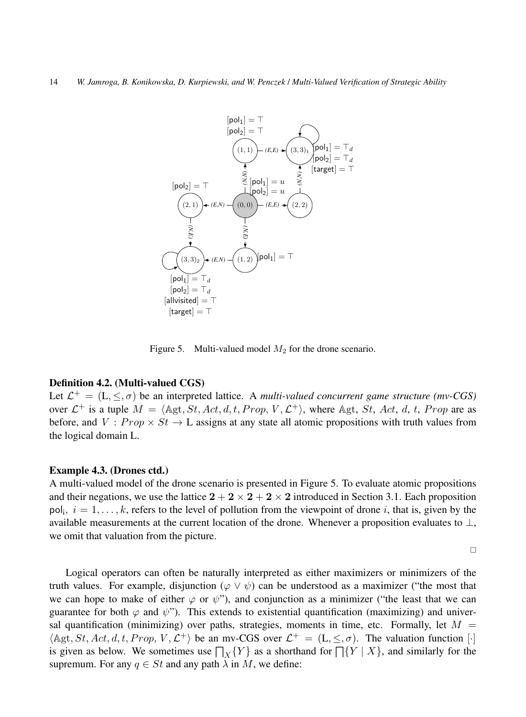

Figure 5. Multi-valued model  $M_2$  for the drone scenario.

### Definition 4.2. (Multi-valued CGS)

Let  $\mathcal{L}^+ = (L, \leq, \sigma)$  be an interpreted lattice. A *multi-valued concurrent game structure (mv-CGS)* over  $\mathcal{L}^+$  is a tuple  $M = \langle \text{Agt}, St, Act, d, t, Prop, V, \mathcal{L}^+ \rangle$ , where  $\text{Agt}, St, Act, d, t, Prop are as$ before, and V :  $Proof \times St \rightarrow L$  assigns at any state all atomic propositions with truth values from the logical domain L.

#### Example 4.3. (Drones ctd.)

A multi-valued model of the drone scenario is presented in Figure 5. To evaluate atomic propositions and their negations, we use the lattice  $2 + 2 \times 2 + 2 \times 2$  introduced in Section 3.1. Each proposition pol<sub>i</sub>,  $i = 1, \ldots, k$ , refers to the level of pollution from the viewpoint of drone i, that is, given by the available measurements at the current location of the drone. Whenever a proposition evaluates to  $\perp$ , we omit that valuation from the picture.

 $\Box$ 

Logical operators can often be naturally interpreted as either maximizers or minimizers of the truth values. For example, disjunction ( $\varphi \lor \psi$ ) can be understood as a maximizer ("the most that we can hope to make of either  $\varphi$  or  $\psi$ "), and conjunction as a minimizer ("the least that we can guarantee for both  $\varphi$  and  $\psi$ "). This extends to existential quantification (maximizing) and universal quantification (minimizing) over paths, strategies, moments in time, etc. Formally, let  $M =$  $\langle \text{Agt}, St, Act, d, t, Prop, V, \mathcal{L}^+ \rangle$  be an mv-CGS over  $\mathcal{L}^+ = (L, \leq, \sigma)$ . The valuation function [·] is given as below. We sometimes use  $\prod_X \{Y\}$  as a shorthand for  $\prod_Y \{Y \mid X\}$ , and similarly for the supremum. For any  $q \in St$  and any path  $\lambda$  in M, we define: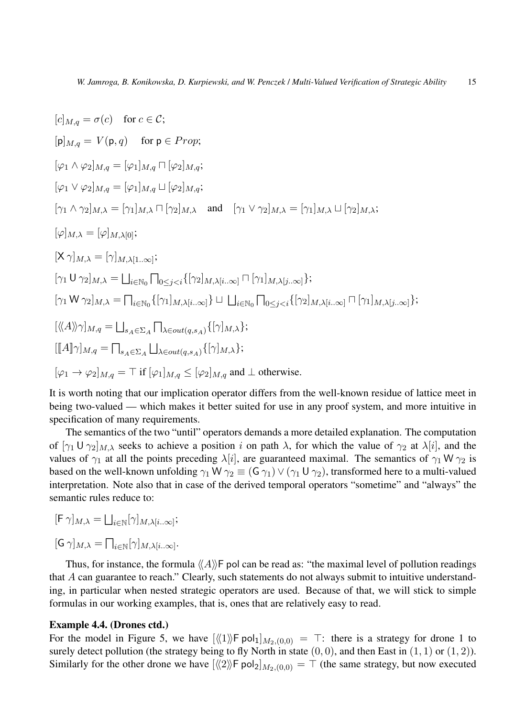$$
[c]_{M,q} = \sigma(c) \text{ for } c \in \mathcal{C};
$$
  
\n
$$
[p]_{M,q} = V(\mathbf{p}, q) \text{ for } \mathbf{p} \in Prop;
$$
  
\n
$$
[\varphi_1 \wedge \varphi_2]_{M,q} = [\varphi_1]_{M,q} \sqcap [\varphi_2]_{M,q};
$$
  
\n
$$
[\varphi_1 \vee \varphi_2]_{M,q} = [\varphi_1]_{M,q} \sqcup [\varphi_2]_{M,q};
$$
  
\n
$$
[\gamma_1 \wedge \gamma_2]_{M,\lambda} = [\gamma_1]_{M,\lambda} \sqcap [\gamma_2]_{M,\lambda} \text{ and } [\gamma_1 \vee \gamma_2]_{M,\lambda} = [\gamma_1]_{M,\lambda} \sqcup [\gamma_2]_{M,\lambda};
$$
  
\n
$$
[\varphi]_{M,\lambda} = [\varphi]_{M,\lambda[0]};
$$
  
\n
$$
[\mathbf{X} \gamma]_{M,\lambda} = [\gamma]_{M,\lambda[1...\infty]};
$$
  
\n
$$
[\gamma_1 \cup \gamma_2]_{M,\lambda} = \bigcup_{i \in \mathbb{N}_0} \bigcap_{0 \le j < i} {\gamma_2}_{M,\lambda[i..\infty]} \sqcap [\gamma_1]_{M,\lambda[j..\infty]};;
$$
  
\n
$$
[\gamma_1 \vee \gamma_2]_{M,\lambda} = \bigcap_{i \in \mathbb{N}_0} {\gamma_1}_{M,\lambda[i..\infty]} \sqcup \bigcup_{i \in \mathbb{N}_0} \bigcap_{0 \le j < i} {\gamma_2}_{M,\lambda[i..\infty]} \sqcap [\gamma_1]_{M,\lambda[j..\infty]};
$$
  
\n
$$
[\langle A]_{\lambda} \rangle \gamma]_{M,q} = \bigcup_{s_A \in \Sigma_A} \bigcap_{\lambda \in out(q,s_A)} {\gamma_1}_{M,\lambda};;
$$
  
\n
$$
[\varphi_1 \rightarrow \varphi_2]_{M,q} = \top \text{ if } [\varphi_1]_{M,q} \leq [\varphi_2]_{M,q} \text{ and } \bot \text{ otherwise.}
$$

It is worth noting that our implication operator differs from the well-known residue of lattice meet in being two-valued — which makes it better suited for use in any proof system, and more intuitive in specification of many requirements.

The semantics of the two "until" operators demands a more detailed explanation. The computation of  $[\gamma_1 \cup \gamma_2]_{M,\lambda}$  seeks to achieve a position i on path  $\lambda$ , for which the value of  $\gamma_2$  at  $\lambda[i]$ , and the values of  $\gamma_1$  at all the points preceding  $\lambda[i]$ , are guaranteed maximal. The semantics of  $\gamma_1 W \gamma_2$  is based on the well-known unfolding  $\gamma_1 W \gamma_2 \equiv (G \gamma_1) \vee (\gamma_1 U \gamma_2)$ , transformed here to a multi-valued interpretation. Note also that in case of the derived temporal operators "sometime" and "always" the semantic rules reduce to:

$$
[\mathsf{F} \ \gamma]_{M,\lambda} = \bigsqcup_{i \in \mathbb{N}} [\gamma]_{M,\lambda[i..\infty]};
$$

$$
[\mathsf{G}\:\gamma]_{M,\lambda}=\textstyle{\bigsqcup_{i\in\mathbb{N}}}[\gamma]_{M,\lambda[i..\infty]}.
$$

Thus, for instance, the formula  $\langle A \rangle$   $\vdash$  pol can be read as: "the maximal level of pollution readings that  $A$  can guarantee to reach." Clearly, such statements do not always submit to intuitive understanding, in particular when nested strategic operators are used. Because of that, we will stick to simple formulas in our working examples, that is, ones that are relatively easy to read.

## Example 4.4. (Drones ctd.)

For the model in Figure 5, we have  $[\langle 1 \rangle \models \text{pol}_1]_{M_2,(0,0)} = \top$ : there is a strategy for drone 1 to surely detect pollution (the strategy being to fly North in state  $(0, 0)$ , and then East in  $(1, 1)$  or  $(1, 2)$ ). Similarly for the other drone we have  $[\langle 2 \rangle F \text{ pol}_2]_{M_2,(0,0)} = \top$  (the same strategy, but now executed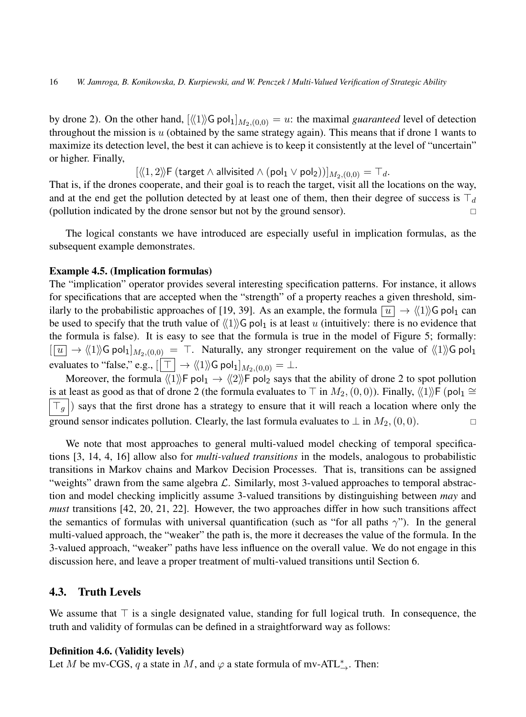by drone 2). On the other hand,  $[\langle \langle 1 \rangle \rangle G \text{ pol}_1]_{M_2,(0,0)} = u$ : the maximal *guaranteed* level of detection throughout the mission is  $u$  (obtained by the same strategy again). This means that if drone 1 wants to maximize its detection level, the best it can achieve is to keep it consistently at the level of "uncertain" or higher. Finally,

 $\left[\langle\langle 1, 2 \rangle\rangle \mathsf{F} \right]$  (target  $\wedge$  allvisited  $\wedge$  (pol<sub>1</sub>  $\vee$  pol<sub>2</sub>))] $_{M_2,(0,0)} = \top_d$ .

That is, if the drones cooperate, and their goal is to reach the target, visit all the locations on the way, and at the end get the pollution detected by at least one of them, then their degree of success is  $\top_d$ (pollution indicated by the drone sensor but not by the ground sensor).  $\Box$ 

The logical constants we have introduced are especially useful in implication formulas, as the subsequent example demonstrates.

#### Example 4.5. (Implication formulas)

The "implication" operator provides several interesting specification patterns. For instance, it allows for specifications that are accepted when the "strength" of a property reaches a given threshold, similarly to the probabilistic approaches of [19, 39]. As an example, the formula  $\boxed{u} \rightarrow \langle \langle 1 \rangle \rangle$ G pol<sub>1</sub> can be used to specify that the truth value of  $\langle\langle 1 \rangle\rangle$ G pol<sub>1</sub> is at least u (intuitively: there is no evidence that the formula is false). It is easy to see that the formula is true in the model of Figure 5; formally:  $[\overline{u}] \rightarrow \langle 1 \rangle$ G pol<sub>1</sub>]<sub>M<sub>2</sub>,(0,0)</sub> = T. Naturally, any stronger requirement on the value of  $\langle 1 \rangle$ G pol<sub>1</sub> evaluates to "false," e.g.,  $[\top] \rightarrow \langle \langle 1 \rangle \rangle$ G pol<sub>1</sub>]<sub>M<sub>2</sub>,(0,0) = ⊥.</sub>

Moreover, the formula  $\langle 1 \rangle$ F pol<sub>1</sub>  $\rightarrow \langle 2 \rangle$ F pol<sub>2</sub> says that the ability of drone 2 to spot pollution is at least as good as that of drone 2 (the formula evaluates to  $\top$  in  $M_2$ ,  $(0,0)$ ). Finally,  $\langle \{1\} \rangle \in (pol_1 \cong$  $\lceil \tau_q \rceil$ ) says that the first drone has a strategy to ensure that it will reach a location where only the ground sensor indicates pollution. Clearly, the last formula evaluates to ⊥ in  $M_2$ ,  $(0, 0)$ . □

We note that most approaches to general multi-valued model checking of temporal specifications [3, 14, 4, 16] allow also for *multi-valued transitions* in the models, analogous to probabilistic transitions in Markov chains and Markov Decision Processes. That is, transitions can be assigned "weights" drawn from the same algebra  $\mathcal{L}$ . Similarly, most 3-valued approaches to temporal abstraction and model checking implicitly assume 3-valued transitions by distinguishing between *may* and *must* transitions [42, 20, 21, 22]. However, the two approaches differ in how such transitions affect the semantics of formulas with universal quantification (such as "for all paths  $\gamma$ "). In the general multi-valued approach, the "weaker" the path is, the more it decreases the value of the formula. In the 3-valued approach, "weaker" paths have less influence on the overall value. We do not engage in this discussion here, and leave a proper treatment of multi-valued transitions until Section 6.

#### 4.3. Truth Levels

We assume that  $\top$  is a single designated value, standing for full logical truth. In consequence, the truth and validity of formulas can be defined in a straightforward way as follows:

#### Definition 4.6. (Validity levels)

Let M be mv-CGS, q a state in M, and  $\varphi$  a state formula of mv-ATL<sup>\*</sup><sub>→</sub>. Then: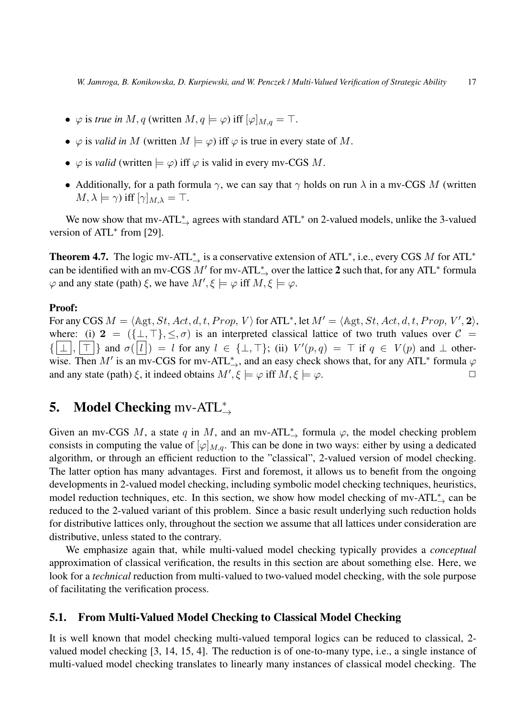- $\varphi$  is *true in* M, q (written M,  $q \models \varphi$ ) iff  $[\varphi]_{M,q} = \top$ .
- $\varphi$  is *valid in* M (written  $M \models \varphi$ ) iff  $\varphi$  is true in every state of M.
- $\varphi$  is *valid* (written  $\models \varphi$ ) iff  $\varphi$  is valid in every mv-CGS M.
- Additionally, for a path formula  $\gamma$ , we can say that  $\gamma$  holds on run  $\lambda$  in a mv-CGS M (written  $M, \lambda \models \gamma$ ) iff  $[\gamma]_{M,\lambda} = \top$ .

We now show that mv-ATL<sup>\*</sup><sub>→</sub> agrees with standard ATL<sup>\*</sup> on 2-valued models, unlike the 3-valued version of ATL<sup>\*</sup> from [29].

**Theorem 4.7.** The logic mv-ATL<sup>\*</sup>, is a conservative extension of ATL<sup>\*</sup>, i.e., every CGS M for ATL<sup>\*</sup> can be identified with an mv-CGS  $M'$  for mv-ATL<sup>\*</sup>, over the lattice 2 such that, for any ATL<sup>\*</sup> formula  $\varphi$  and any state (path)  $\xi$ , we have  $M', \xi \models \varphi$  iff  $M, \xi \models \varphi$ .

## Proof:

For any CGS  $M = \langle \text{Agt}, St, Act, d, t, Prop, V \rangle$  for ATL<sup>∗</sup>, let  $M' = \langle \text{Agt}, St, Act, d, t, Prop, V', 2 \rangle$ , where: (i)  $2 = (\{\perp, \perp\}, \leq, \sigma)$  is an interpreted classical lattice of two truth values over  $C =$  $\{ |\perp|, |\perp| \}$  and  $\sigma(|l|) = l$  for any  $l \in \{\perp, \perp\}$ ; (ii)  $V'(p,q) = \top$  if  $q \in V(p)$  and  $\perp$  otherwise. Then M' is an mv-CGS for mv-ATL<sup>\*</sup>, and an easy check shows that, for any ATL<sup>\*</sup> formula  $\varphi$ and any state (path)  $\xi$ , it indeed obtains  $M', \xi \models \varphi$  iff  $M, \xi \models \varphi$ .

# 5. Model Checking mv-ATL<sup>\*</sup>

Given an mv-CGS M, a state q in M, and an mv-ATL<sup>\*</sup>, formula  $\varphi$ , the model checking problem consists in computing the value of  $[\varphi]_{M,q}$ . This can be done in two ways: either by using a dedicated algorithm, or through an efficient reduction to the "classical", 2-valued version of model checking. The latter option has many advantages. First and foremost, it allows us to benefit from the ongoing developments in 2-valued model checking, including symbolic model checking techniques, heuristics, model reduction techniques, etc. In this section, we show how model checking of mv-ATL<sup>\*</sup><sub>→</sub> can be reduced to the 2-valued variant of this problem. Since a basic result underlying such reduction holds for distributive lattices only, throughout the section we assume that all lattices under consideration are distributive, unless stated to the contrary.

We emphasize again that, while multi-valued model checking typically provides a *conceptual* approximation of classical verification, the results in this section are about something else. Here, we look for a *technical* reduction from multi-valued to two-valued model checking, with the sole purpose of facilitating the verification process.

# 5.1. From Multi-Valued Model Checking to Classical Model Checking

It is well known that model checking multi-valued temporal logics can be reduced to classical, 2 valued model checking [3, 14, 15, 4]. The reduction is of one-to-many type, i.e., a single instance of multi-valued model checking translates to linearly many instances of classical model checking. The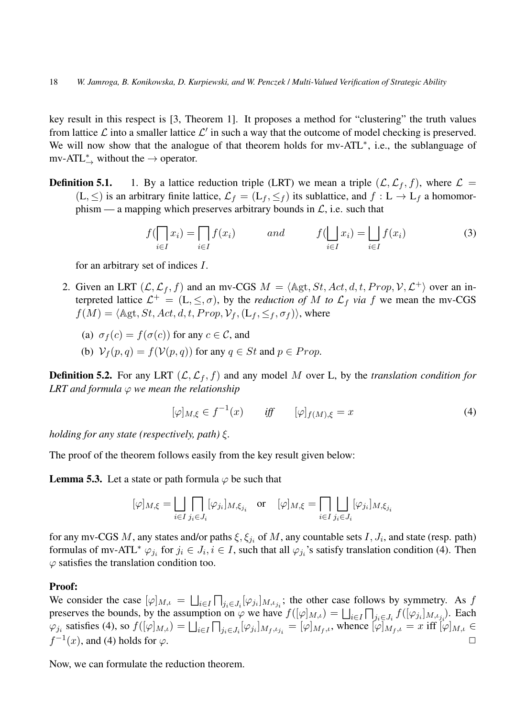key result in this respect is [3, Theorem 1]. It proposes a method for "clustering" the truth values from lattice  $\mathcal L$  into a smaller lattice  $\mathcal L'$  in such a way that the outcome of model checking is preserved. We will now show that the analogue of that theorem holds for mv-ATL<sup>\*</sup>, i.e., the sublanguage of  $mv-ATL^*$  without the  $\rightarrow$  operator.

**Definition 5.1.** 1. By a lattice reduction triple (LRT) we mean a triple  $(L, L_f, f)$ , where  $L =$  $(L, \leq)$  is an arbitrary finite lattice,  $\mathcal{L}_f = (L_f, \leq_f)$  its sublattice, and  $f : L \to L_f$  a homomorphism — a mapping which preserves arbitrary bounds in  $\mathcal{L}$ , i.e. such that

$$
f(\prod_{i\in I} x_i) = \prod_{i\in I} f(x_i) \qquad and \qquad f(\prod_{i\in I} x_i) = \prod_{i\in I} f(x_i) \tag{3}
$$

for an arbitrary set of indices I.

- 2. Given an LRT  $(L, L_f, f)$  and an mv-CGS  $M = \langle \text{Agt}, St, Act, d, t, Prop, V, L^+ \rangle$  over an interpreted lattice  $\mathcal{L}^+ = (L, \leq, \sigma)$ , by the *reduction of* M to  $\mathcal{L}_f$  *via* f we mean the mv-CGS  $f(M) = \langle \text{Agt}, St, Act, d, t, Prop, V_f, (L_f, \leq_f, \sigma_f) \rangle$ , where
	- (a)  $\sigma_f(c) = f(\sigma(c))$  for any  $c \in \mathcal{C}$ , and
	- (b)  $\mathcal{V}_f(p,q) = f(\mathcal{V}(p,q))$  for any  $q \in St$  and  $p \in Prop$ .

**Definition 5.2.** For any LRT  $(L, L_f, f)$  and any model M over L, by the *translation condition for LRT* and formula  $\varphi$  *we mean the relationship* 

$$
[\varphi]_{M,\xi} \in f^{-1}(x) \qquad \text{iff} \qquad [\varphi]_{f(M),\xi} = x \tag{4}
$$

*holding for any state (respectively, path)* ξ*.*

The proof of the theorem follows easily from the key result given below:

**Lemma 5.3.** Let a state or path formula  $\varphi$  be such that

$$
[\varphi]_{M,\xi} = \bigsqcup_{i \in I} \bigcap_{j_i \in J_i} [\varphi_{j_i}]_{M,\xi_{j_i}} \quad \text{or} \quad [\varphi]_{M,\xi} = \bigcap_{i \in I} \bigsqcup_{j_i \in J_i} [\varphi_{j_i}]_{M,\xi_{j_i}}
$$

for any mv-CGS M, any states and/or paths  $\xi, \xi_{j_i}$  of M, any countable sets I,  $J_i$ , and state (resp. path) formulas of mv-ATL<sup>\*</sup>  $\varphi_{j_i}$  for  $j_i \in J_i$ ,  $i \in I$ , such that all  $\varphi_{j_i}$ 's satisfy translation condition (4). Then  $\varphi$  satisfies the translation condition too.

#### Proof:

We consider the case  $[\varphi]_{M,t} = \bigsqcup_{i \in I} \bigcap_{j_i \in J_i} [\varphi_{j_i}]_{M,t_{j_i}}$ ; the other case follows by symmetry. As f preserves the bounds, by the assumption on  $\varphi$  we have  $f([\varphi]_{M,\iota}) = \bigsqcup_{i \in I} \bigcap_{j_i \in J_i} f([\varphi_{j_i}]_{M,\iota_{j_i}})$ . Each  $\varphi_{j_i}$  satisfies (4), so  $f([\varphi]_{M,t}) = \bigsqcup_{i \in I} \bigcap_{j_i \in J_i} [\varphi_{j_i}]_{M_f, i_{j_i}} = [\varphi]_{M_f, i}$ , whence  $[\varphi]_{M_f, i} = x$  iff  $[\varphi]_{M, i} \in$  $f^{-1}(x)$ , and (4) holds for  $\varphi$ .

Now, we can formulate the reduction theorem.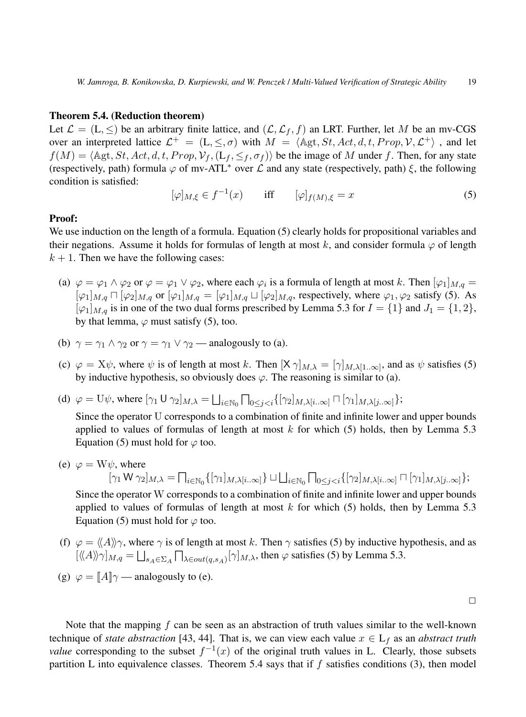### Theorem 5.4. (Reduction theorem)

Let  $\mathcal{L} = (L, \leq)$  be an arbitrary finite lattice, and  $(\mathcal{L}, \mathcal{L}_f, f)$  an LRT. Further, let M be an mv-CGS over an interpreted lattice  $\mathcal{L}^+ = (L, \le, \sigma)$  with  $M = \langle \text{Agt}, St, Act, d, t, Prop, V, \mathcal{L}^+ \rangle$ , and let  $f(M) = \langle \text{Agt}, St, Act, d, t, Prop, V_f, (L_f, \leq_f, \sigma_f) \rangle$  be the image of M under f. Then, for any state (respectively, path) formula  $\varphi$  of mv-ATL<sup>\*</sup> over  $\mathcal L$  and any state (respectively, path)  $\xi$ , the following condition is satisfied:

$$
[\varphi]_{M,\xi} \in f^{-1}(x) \qquad \text{iff} \qquad [\varphi]_{f(M),\xi} = x \tag{5}
$$

## Proof:

We use induction on the length of a formula. Equation (5) clearly holds for propositional variables and their negations. Assume it holds for formulas of length at most k, and consider formula  $\varphi$  of length  $k + 1$ . Then we have the following cases:

- (a)  $\varphi = \varphi_1 \wedge \varphi_2$  or  $\varphi = \varphi_1 \vee \varphi_2$ , where each  $\varphi_i$  is a formula of length at most k. Then  $[\varphi_1]_{M,q} =$  $[\varphi_1]_{M,q} \sqcap [\varphi_2]_{M,q}$  or  $[\varphi_1]_{M,q} = [\varphi_1]_{M,q} \sqcup [\varphi_2]_{M,q}$ , respectively, where  $\varphi_1, \varphi_2$  satisfy (5). As  $[\varphi_1]_{M,q}$  is in one of the two dual forms prescribed by Lemma 5.3 for  $I = \{1\}$  and  $J_1 = \{1, 2\}$ , by that lemma,  $\varphi$  must satisfy (5), too.
- (b)  $\gamma = \gamma_1 \wedge \gamma_2$  or  $\gamma = \gamma_1 \vee \gamma_2$  analogously to (a).
- (c)  $\varphi = X\psi$ , where  $\psi$  is of length at most k. Then  $[X \gamma]_{M,\lambda} = [\gamma]_{M,\lambda[1..\infty]}$ , and as  $\psi$  satisfies (5) by inductive hypothesis, so obviously does  $\varphi$ . The reasoning is similar to (a).
- (d)  $\varphi = \mathbf{U}\psi$ , where  $[\gamma_1 \mathbf{U} \gamma_2]_{M,\lambda} = \bigsqcup_{i \in \mathbb{N}_0} \bigcap_{0 \leq j < i} \{ [\gamma_2]_{M,\lambda[i..\infty]} \sqcap [\gamma_1]_{M,\lambda[j..\infty]}\}\; ;$

Since the operator U corresponds to a combination of finite and infinite lower and upper bounds applied to values of formulas of length at most  $k$  for which (5) holds, then by Lemma 5.3 Equation (5) must hold for  $\varphi$  too.

(e)  $\varphi = W\psi$ , where

 $[\gamma_1 \mathsf{W} \ \gamma_2]_{M,\lambda} = \bigcap_{i \in \mathbb{N}_0} \{ [\gamma_1]_{M,\lambda[i..\infty]} \} \sqcup \bigcup_{i \in \mathbb{N}_0} \bigcap_{0 \leq j < i} \{ [\gamma_2]_{M,\lambda[i..\infty]} \sqcap [\gamma_1]_{M,\lambda[j..\infty]} \}$ 

Since the operator W corresponds to a combination of finite and infinite lower and upper bounds applied to values of formulas of length at most  $k$  for which (5) holds, then by Lemma 5.3 Equation (5) must hold for  $\varphi$  too.

- (f)  $\varphi = \langle \langle A \rangle \rangle$ , where  $\gamma$  is of length at most k. Then  $\gamma$  satisfies (5) by inductive hypothesis, and as  $[\langle\langle A \rangle\rangle \gamma]_{M,q} = \bigsqcup_{s_A \in \Sigma_A} \bigcap_{\lambda \in out(q,s_A)} [\gamma]_{M,\lambda}$ , then  $\varphi$  satisfies (5) by Lemma 5.3.
- (g)  $\varphi = [A] \gamma$  analogously to (e).

 $\Box$ 

Note that the mapping  $f$  can be seen as an abstraction of truth values similar to the well-known technique of *state abstraction* [43, 44]. That is, we can view each value  $x \in L_f$  as an *abstract truth value* corresponding to the subset  $f^{-1}(x)$  of the original truth values in L. Clearly, those subsets partition L into equivalence classes. Theorem 5.4 says that if  $f$  satisfies conditions (3), then model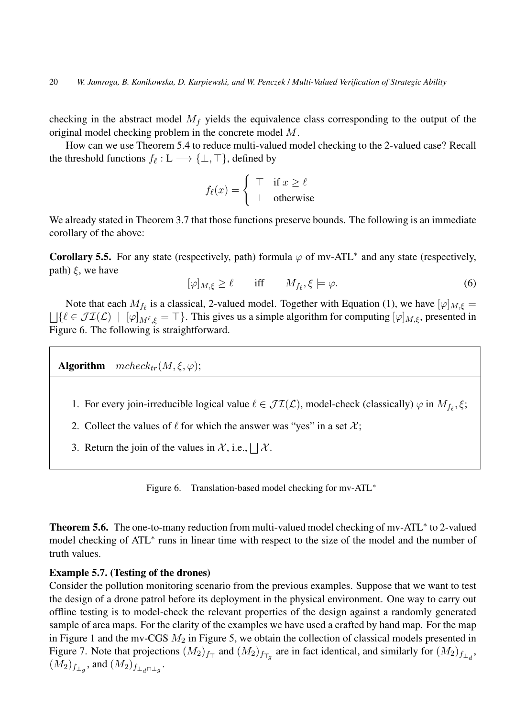checking in the abstract model  $M_f$  yields the equivalence class corresponding to the output of the original model checking problem in the concrete model M.

How can we use Theorem 5.4 to reduce multi-valued model checking to the 2-valued case? Recall the threshold functions  $f_{\ell} : L \longrightarrow \{\perp, \top\}$ , defined by

$$
f_{\ell}(x) = \begin{cases} \top & \text{if } x \ge \ell \\ \bot & \text{otherwise} \end{cases}
$$

We already stated in Theorem 3.7 that those functions preserve bounds. The following is an immediate corollary of the above:

Corollary 5.5. For any state (respectively, path) formula  $\varphi$  of mv-ATL<sup>\*</sup> and any state (respectively, path)  $\xi$ , we have

$$
[\varphi]_{M,\xi} \ge \ell \quad \text{iff} \quad M_{f_\ell}, \xi \models \varphi. \tag{6}
$$

Note that each  $M_{f_\ell}$  is a classical, 2-valued model. Together with Equation (1), we have  $[\varphi]_{M,\xi} =$  $\bigcup \{ \ell \in \mathcal{JI}(\mathcal{L}) \mid [\varphi]_{M^{\ell},\xi} = \top \}.$  This gives us a simple algorithm for computing  $[\varphi]_{M,\xi}$ , presented in Figure 6. The following is straightforward.

Algorithm  $mcheck_{tr}(M,\xi,\varphi);$ 

1. For every join-irreducible logical value  $\ell \in \mathcal{JI}(\mathcal{L})$ , model-check (classically)  $\varphi$  in  $M_{f_\ell}, \xi;$ 

2. Collect the values of  $\ell$  for which the answer was "yes" in a set  $\mathcal{X}$ ;

3. Return the join of the values in  $\mathcal{X}$ , i.e.,  $\iint \mathcal{X}$ .

Theorem 5.6. The one-to-many reduction from multi-valued model checking of mv-ATL<sup>\*</sup> to 2-valued model checking of ATL<sup>\*</sup> runs in linear time with respect to the size of the model and the number of truth values.

## Example 5.7. (Testing of the drones)

Consider the pollution monitoring scenario from the previous examples. Suppose that we want to test the design of a drone patrol before its deployment in the physical environment. One way to carry out offline testing is to model-check the relevant properties of the design against a randomly generated sample of area maps. For the clarity of the examples we have used a crafted by hand map. For the map in Figure 1 and the mv-CGS  $M_2$  in Figure 5, we obtain the collection of classical models presented in Figure 7. Note that projections  $(M_2)_{f\tau}$  and  $(M_2)_{f\tau_g}$  are in fact identical, and similarly for  $(M_2)_{f\perp_d}$ ,  $(M_2)_{f_{\perp g}}$ , and  $(M_2)_{f_{\perp_d} \sqcap \perp_g}$ .

Figure 6. Translation-based model checking for mv-ATL<sup>∗</sup>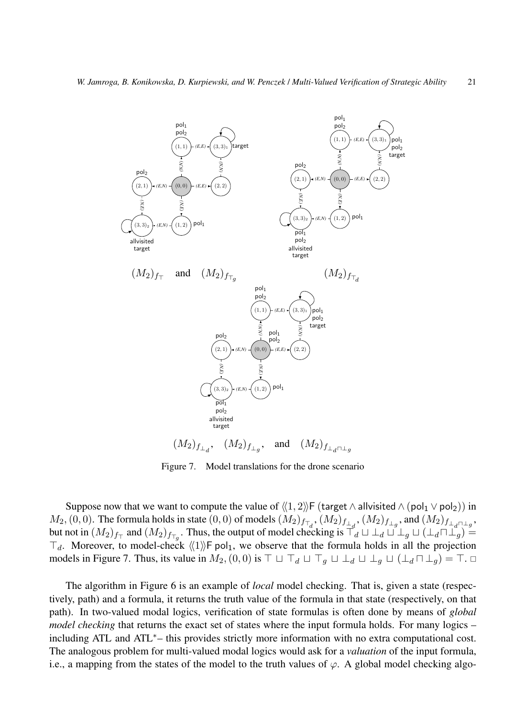

Figure 7. Model translations for the drone scenario

Suppose now that we want to compute the value of  $\langle \langle 1, 2 \rangle \rangle$  (target ∧ allvisited ∧ (pol<sub>1</sub> ∨ pol<sub>2</sub>)) in  $M_2,(0,0)$ . The formula holds in state  $(0,0)$  of models  $(M_2)_{f_{\perp_d}}$ ,  $(M_2)_{f_{\perp_d}}$ ,  $(M_2)_{f_{\perp_g}}$ , and  $(M_2)_{f_{\perp_d} \sqcap \perp_g}$ , but not in  $(M_2)_{f_{\top g}}$  and  $(M_2)_{f_{\top g}}$ . Thus, the output of model checking is  $\overline{d} d \sqcup \bot_d \sqcup \bot_g \sqcup (\bot_d \sqcap \bot_g) =$  $\top_d$ . Moreover, to model-check  $\langle\langle 1 \rangle \rangle$ F pol<sub>1</sub>, we observe that the formula holds in all the projection models in Figure 7. Thus, its value in  $M_2$ ,  $(0, 0)$  is  $\top \sqcup \top_d \sqcup \top_g \sqcup \bot_d \sqcup \bot_g \sqcup (\bot_d \sqcap \bot_g) = \top$ .  $\Box$ 

The algorithm in Figure 6 is an example of *local* model checking. That is, given a state (respectively, path) and a formula, it returns the truth value of the formula in that state (respectively, on that path). In two-valued modal logics, verification of state formulas is often done by means of *global model checking* that returns the exact set of states where the input formula holds. For many logics – including ATL and ATL∗– this provides strictly more information with no extra computational cost. The analogous problem for multi-valued modal logics would ask for a *valuation* of the input formula, i.e., a mapping from the states of the model to the truth values of  $\varphi$ . A global model checking algo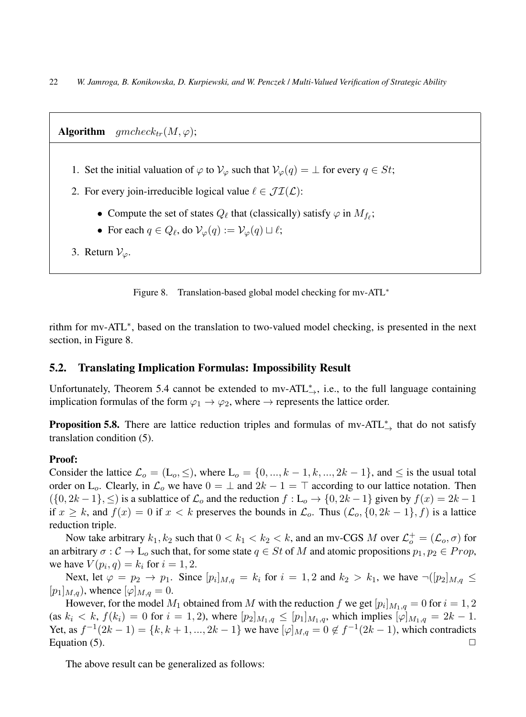Algorithm  $gmeheck_{tr}(M,\varphi);$ 

- 1. Set the initial valuation of  $\varphi$  to  $\mathcal{V}_{\varphi}$  such that  $\mathcal{V}_{\varphi}(q) = \bot$  for every  $q \in St$ ;
- 2. For every join-irreducible logical value  $\ell \in \mathcal{JI}(\mathcal{L})$ :
	- Compute the set of states  $Q_\ell$  that (classically) satisfy  $\varphi$  in  $M_{f_\ell}$ ;
	- For each  $q \in Q_\ell$ , do  $\mathcal{V}_\varphi(q) := \mathcal{V}_\varphi(q) \sqcup \ell;$
- 3. Return  $V_{\varphi}$ .

Figure 8. Translation-based global model checking for mv-ATL<sup>∗</sup>

rithm for mv-ATL<sup>\*</sup>, based on the translation to two-valued model checking, is presented in the next section, in Figure 8.

# 5.2. Translating Implication Formulas: Impossibility Result

Unfortunately, Theorem 5.4 cannot be extended to mv-ATL<sup>\*</sup><sub>→</sub>, i.e., to the full language containing implication formulas of the form  $\varphi_1 \to \varphi_2$ , where  $\to$  represents the lattice order.

**Proposition 5.8.** There are lattice reduction triples and formulas of mv-ATL<sup>\*</sup>, that do not satisfy translation condition (5).

#### Proof:

Consider the lattice  $\mathcal{L}_o = (L_o, \leq)$ , where  $L_o = \{0, ..., k-1, k, ..., 2k-1\}$ , and  $\leq$  is the usual total order on L<sub>o</sub>. Clearly, in  $\mathcal{L}_o$  we have  $0 = \perp$  and  $2k - 1 = \top$  according to our lattice notation. Then  $(\{0, 2k-1\}, \leq)$  is a sublattice of  $\mathcal{L}_o$  and the reduction  $f : L_o \to \{0, 2k-1\}$  given by  $f(x) = 2k-1$ if  $x \ge k$ , and  $f(x) = 0$  if  $x < k$  preserves the bounds in  $\mathcal{L}_o$ . Thus  $(\mathcal{L}_o, \{0, 2k - 1\}, f)$  is a lattice reduction triple.

Now take arbitrary  $k_1, k_2$  such that  $0 < k_1 < k_2 < k$ , and an mv-CGS M over  $\mathcal{L}_o^+ = (\mathcal{L}_o, \sigma)$  for an arbitrary  $\sigma : C \to L_0$  such that, for some state  $q \in St$  of M and atomic propositions  $p_1, p_2 \in Prop$ , we have  $V(p_i, q) = k_i$  for  $i = 1, 2$ .

Next, let  $\varphi = p_2 \to p_1$ . Since  $[p_i]_{M,q} = k_i$  for  $i = 1, 2$  and  $k_2 > k_1$ , we have  $\neg([p_2]_{M,q} \leq$  $[p_1]_{M,q}$ , whence  $[\varphi]_{M,q} = 0$ .

However, for the model  $M_1$  obtained from  $M$  with the reduction  $f$  we get  $[p_i]_{M_1,q} = 0$  for  $i = 1,2$ (as  $k_i < k$ ,  $f(k_i) = 0$  for  $i = 1, 2$ ), where  $[p_2]_{M_1,q} \leq [p_1]_{M_1,q}$ , which implies  $[\varphi]_{M_1,q} = 2k - 1$ . Yet, as  $f^{-1}(2k-1) = \{k, k+1, ..., 2k-1\}$  we have  $[\varphi]_{M,q} = 0 \notin f^{-1}(2k-1)$ , which contradicts Equation (5).  $\Box$ 

The above result can be generalized as follows: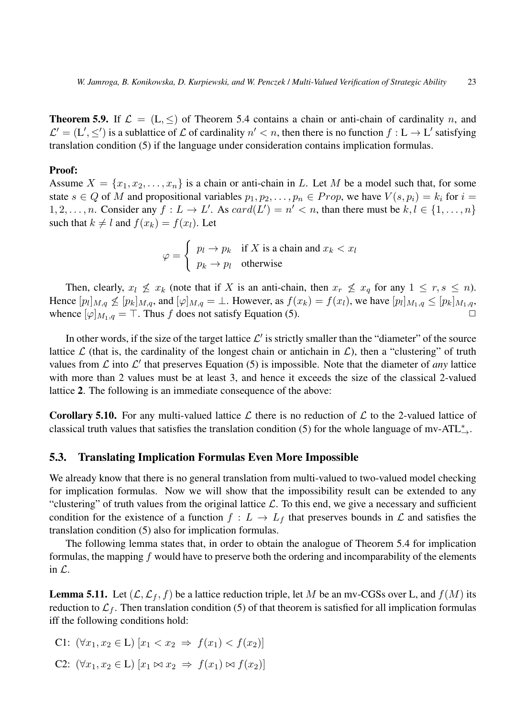**Theorem 5.9.** If  $\mathcal{L} = (L, \leq)$  of Theorem 5.4 contains a chain or anti-chain of cardinality n, and  $\mathcal{L}' = (L', \leq')$  is a sublattice of  $\mathcal L$  of cardinality  $n' < n$ , then there is no function  $f : L \to L'$  satisfying translation condition (5) if the language under consideration contains implication formulas.

#### Proof:

Assume  $X = \{x_1, x_2, \ldots, x_n\}$  is a chain or anti-chain in L. Let M be a model such that, for some state  $s \in Q$  of M and propositional variables  $p_1, p_2, \ldots, p_n \in Prop$ , we have  $V(s, p_i) = k_i$  for  $i =$ 1, 2, ..., n. Consider any  $f: L \to L'$ . As  $card(L') = n' < n$ , than there must be  $k, l \in \{1, ..., n\}$ such that  $k \neq l$  and  $f(x_k) = f(x_l)$ . Let

$$
\varphi = \begin{cases} p_l \to p_k & \text{if } X \text{ is a chain and } x_k < x_l \\ p_k \to p_l & \text{otherwise} \end{cases}
$$

Then, clearly,  $x_l \nleq x_k$  (note that if X is an anti-chain, then  $x_r \nleq x_q$  for any  $1 \leq r, s \leq n$ ). Hence  $[p_l]_{M,q} \nleq [p_k]_{M,q}$ , and  $[\varphi]_{M,q} = \bot$ . However, as  $f(x_k) = f(x_l)$ , we have  $[p_l]_{M_1,q} \leq [p_k]_{M_1,q}$ , whence  $[\varphi]_{M_1,q} = \top$ . Thus f does not satisfy Equation (5).

In other words, if the size of the target lattice  $\mathcal{L}'$  is strictly smaller than the "diameter" of the source lattice  $\mathcal L$  (that is, the cardinality of the longest chain or antichain in  $\mathcal L$ ), then a "clustering" of truth values from  $\mathcal L$  into  $\mathcal L'$  that preserves Equation (5) is impossible. Note that the diameter of *any* lattice with more than 2 values must be at least 3, and hence it exceeds the size of the classical 2-valued lattice 2. The following is an immediate consequence of the above:

**Corollary 5.10.** For any multi-valued lattice  $\mathcal L$  there is no reduction of  $\mathcal L$  to the 2-valued lattice of classical truth values that satisfies the translation condition (5) for the whole language of mv-ATL<sup>\*</sup><sub>→</sub>.

# 5.3. Translating Implication Formulas Even More Impossible

We already know that there is no general translation from multi-valued to two-valued model checking for implication formulas. Now we will show that the impossibility result can be extended to any "clustering" of truth values from the original lattice  $\mathcal{L}$ . To this end, we give a necessary and sufficient condition for the existence of a function  $f: L \to L_f$  that preserves bounds in  $\mathcal L$  and satisfies the translation condition (5) also for implication formulas.

The following lemma states that, in order to obtain the analogue of Theorem 5.4 for implication formulas, the mapping  $f$  would have to preserve both the ordering and incomparability of the elements in L.

**Lemma 5.11.** Let  $(\mathcal{L}, \mathcal{L}_f, f)$  be a lattice reduction triple, let M be an mv-CGSs over L, and  $f(M)$  its reduction to  $\mathcal{L}_f$ . Then translation condition (5) of that theorem is satisfied for all implication formulas iff the following conditions hold:

C1: 
$$
(\forall x_1, x_2 \in L) [x_1 < x_2 \Rightarrow f(x_1) < f(x_2)]
$$
  
C2:  $(\forall x_1, x_2 \in L) [x_1 \bowtie x_2 \Rightarrow f(x_1) \bowtie f(x_2)]$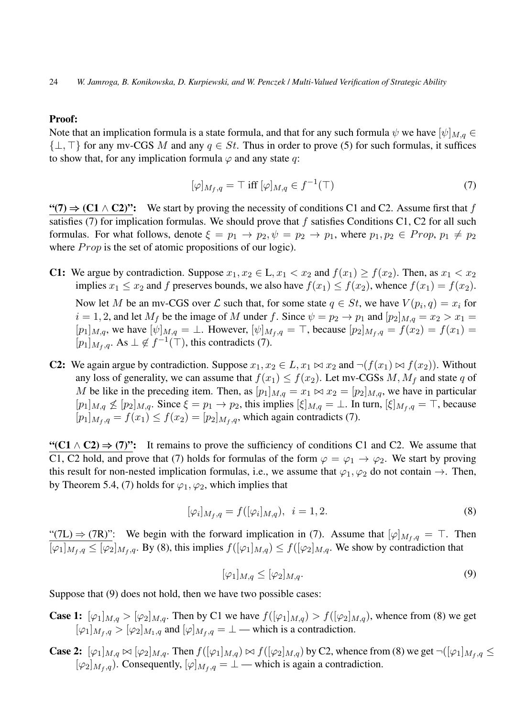#### Proof:

Note that an implication formula is a state formula, and that for any such formula  $\psi$  we have  $[\psi]_{M,q} \in$  $\{\perp, \perp\}$  for any mv-CGS M and any  $q \in St$ . Thus in order to prove (5) for such formulas, it suffices to show that, for any implication formula  $\varphi$  and any state q:

$$
[\varphi]_{M_f,q} = \top \text{ iff } [\varphi]_{M,q} \in f^{-1}(\top) \tag{7}
$$

" $(7) \Rightarrow (C1 \land C2)$ ": We start by proving the necessity of conditions C1 and C2. Assume first that f satisfies (7) for implication formulas. We should prove that  $f$  satisfies Conditions C1, C2 for all such formulas. For what follows, denote  $\xi = p_1 \rightarrow p_2, \psi = p_2 \rightarrow p_1$ , where  $p_1, p_2 \in Prop, p_1 \neq p_2$ where  $Prop$  is the set of atomic propositions of our logic).

- **C1:** We argue by contradiction. Suppose  $x_1, x_2 \in L$ ,  $x_1 < x_2$  and  $f(x_1) \ge f(x_2)$ . Then, as  $x_1 < x_2$ implies  $x_1 \le x_2$  and f preserves bounds, we also have  $f(x_1) \le f(x_2)$ , whence  $f(x_1) = f(x_2)$ . Now let M be an mv-CGS over L such that, for some state  $q \in St$ , we have  $V(p_i, q) = x_i$  for  $i = 1, 2$ , and let  $M_f$  be the image of M under f. Since  $\psi = p_2 \rightarrow p_1$  and  $[p_2]_{M,g} = x_2 > x_1 =$  $[p_1]_{M,q}$ , we have  $[\psi]_{M,q} = \bot$ . However,  $[\psi]_{M_f,q} = \top$ , because  $[p_2]_{M_f,q} = f(x_2) = f(x_1) =$  $[p_1]_{M_f,q}$ . As  $\perp \notin f^{-1}(\top)$ , this contradicts (7).
- **C2:** We again argue by contradiction. Suppose  $x_1, x_2 \in L$ ,  $x_1 \bowtie x_2$  and  $\neg(f(x_1) \bowtie f(x_2))$ . Without any loss of generality, we can assume that  $f(x_1) \le f(x_2)$ . Let mv-CGSs M,  $M_f$  and state q of M be like in the preceding item. Then, as  $[p_1]_{M,q} = x_1 \bowtie x_2 = [p_2]_{M,q}$ , we have in particular  $[p_1]_{M,q} \nleq [p_2]_{M,q}$ . Since  $\xi = p_1 \rightarrow p_2$ , this implies  $[\xi]_{M,q} = \bot$ . In turn,  $[\xi]_{M_f,q} = \top$ , because  $[p_1]_{M_f, q} = f(x_1) \le f(x_2) = [p_2]_{M_f, q}$ , which again contradicts (7).

"(C1  $\land$  C2)  $\Rightarrow$  (7)": It remains to prove the sufficiency of conditions C1 and C2. We assume that C1, C2 hold, and prove that (7) holds for formulas of the form  $\varphi = \varphi_1 \to \varphi_2$ . We start by proving this result for non-nested implication formulas, i.e., we assume that  $\varphi_1, \varphi_2$  do not contain  $\rightarrow$ . Then, by Theorem 5.4, (7) holds for  $\varphi_1, \varphi_2$ , which implies that

$$
[\varphi_i]_{M_f,q} = f([\varphi_i]_{M,q}), \quad i = 1,2. \tag{8}
$$

"(7L)  $\Rightarrow$  (7R)": We begin with the forward implication in (7). Assume that  $[\varphi]_{M_f,q} = \top$ . Then  $\sqrt{[\varphi_1]_{M_f,q}} \leq [\varphi_2]_{M_f,q}$ . By (8), this implies  $f([\varphi_1]_{M,q}) \leq f([\varphi_2]_{M,q}$ . We show by contradiction that

$$
[\varphi_1]_{M,q} \le [\varphi_2]_{M,q}.\tag{9}
$$

Suppose that (9) does not hold, then we have two possible cases:

- **Case 1:**  $[\varphi_1]_{M,q} > [\varphi_2]_{M,q}$ . Then by C1 we have  $f([\varphi_1]_{M,q}) > f([\varphi_2]_{M,q})$ , whence from (8) we get  $[\varphi_1]_{M_f, q} > [\varphi_2]_{M_1, q}$  and  $[\varphi]_{M_f, q} = \bot$  — which is a contradiction.
- **Case 2:**  $[\varphi_1]_{M,q} \bowtie [\varphi_2]_{M,q}$ . Then  $f([\varphi_1]_{M,q}) \bowtie f([\varphi_2]_{M,q})$  by C2, whence from (8) we get  $\neg([\varphi_1]_{M_f,q} \leq \varphi_2]_{M_f,q}$  $[\varphi_2]_{M_f,q}$ ). Consequently,  $[\varphi]_{M_f,q} = \bot$  — which is again a contradiction.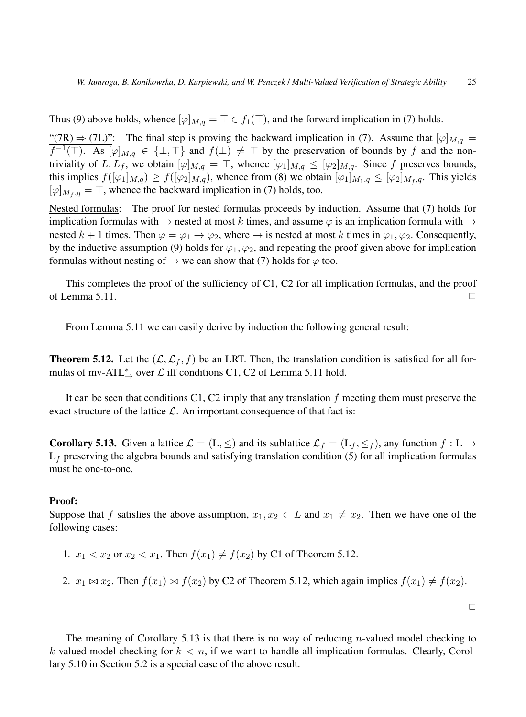Thus (9) above holds, whence  $[\varphi]_{M,q} = \top \in f_1(\top)$ , and the forward implication in (7) holds.

"(7R)  $\Rightarrow$  (7L)": The final step is proving the backward implication in (7). Assume that  $[\varphi]_{M,q} =$  $\overline{f^{-1}(\top)}$ . As  $[\varphi]_{M,q} \in {\{\bot, \top\}}$  and  $f(\bot) \neq \top$  by the preservation of bounds by f and the nontriviality of L,  $L_f$ , we obtain  $[\varphi]_{M,q} = \top$ , whence  $[\varphi_1]_{M,q} \leq [\varphi_2]_{M,q}$ . Since f preserves bounds, this implies  $f([\varphi_1]_{M,q}) \geq f([\varphi_2]_{M,q})$ , whence from (8) we obtain  $[\varphi_1]_{M_1,q} \leq [\varphi_2]_{M_f,q}$ . This yields  $[\varphi]_{M_f, q} = \top$ , whence the backward implication in (7) holds, too.

Nested formulas: The proof for nested formulas proceeds by induction. Assume that (7) holds for implication formulas with  $\rightarrow$  nested at most k times, and assume  $\varphi$  is an implication formula with  $\rightarrow$ nested  $k + 1$  times. Then  $\varphi = \varphi_1 \to \varphi_2$ , where  $\to$  is nested at most k times in  $\varphi_1, \varphi_2$ . Consequently, by the inductive assumption (9) holds for  $\varphi_1, \varphi_2$ , and repeating the proof given above for implication formulas without nesting of  $\rightarrow$  we can show that (7) holds for  $\varphi$  too.

This completes the proof of the sufficiency of C1, C2 for all implication formulas, and the proof of Lemma 5.11.  $\Box$ 

From Lemma 5.11 we can easily derive by induction the following general result:

**Theorem 5.12.** Let the  $(L, L_f, f)$  be an LRT. Then, the translation condition is satisfied for all formulas of mv-ATL<sup>\*</sup> over  $\mathcal L$  iff conditions C1, C2 of Lemma 5.11 hold.

It can be seen that conditions C1, C2 imply that any translation  $f$  meeting them must preserve the exact structure of the lattice  $\mathcal{L}$ . An important consequence of that fact is:

**Corollary 5.13.** Given a lattice  $\mathcal{L} = (L, \leq)$  and its sublattice  $\mathcal{L}_f = (L_f, \leq_f)$ , any function  $f : L \to$  $L_f$  preserving the algebra bounds and satisfying translation condition (5) for all implication formulas must be one-to-one.

#### Proof:

Suppose that f satisfies the above assumption,  $x_1, x_2 \in L$  and  $x_1 \neq x_2$ . Then we have one of the following cases:

1.  $x_1 < x_2$  or  $x_2 < x_1$ . Then  $f(x_1) \neq f(x_2)$  by C1 of Theorem 5.12.

2.  $x_1 \bowtie x_2$ . Then  $f(x_1) \bowtie f(x_2)$  by C2 of Theorem 5.12, which again implies  $f(x_1) \neq f(x_2)$ .

 $\Box$ 

The meaning of Corollary 5.13 is that there is no way of reducing *n*-valued model checking to k-valued model checking for  $k < n$ , if we want to handle all implication formulas. Clearly, Corollary 5.10 in Section 5.2 is a special case of the above result.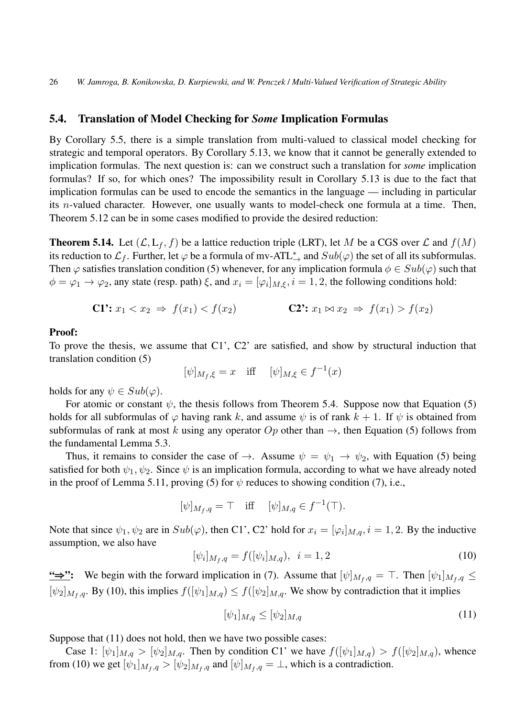# 5.4. Translation of Model Checking for *Some* Implication Formulas

By Corollary 5.5, there is a simple translation from multi-valued to classical model checking for strategic and temporal operators. By Corollary 5.13, we know that it cannot be generally extended to implication formulas. The next question is: can we construct such a translation for *some* implication formulas? If so, for which ones? The impossibility result in Corollary 5.13 is due to the fact that implication formulas can be used to encode the semantics in the language — including in particular its *n*-valued character. However, one usually wants to model-check one formula at a time. Then, Theorem 5.12 can be in some cases modified to provide the desired reduction:

**Theorem 5.14.** Let  $(L, L_f, f)$  be a lattice reduction triple (LRT), let M be a CGS over L and  $f(M)$ its reduction to  $\mathcal{L}_f$ . Further, let  $\varphi$  be a formula of mv-ATL<sup>\*</sup>, and  $Sub(\varphi)$  the set of all its subformulas. Then  $\varphi$  satisfies translation condition (5) whenever, for any implication formula  $\phi \in Sub(\varphi)$  such that  $\phi = \varphi_1 \to \varphi_2$ , any state (resp. path)  $\xi$ , and  $x_i = [\varphi_i]_{M,\xi}$ ,  $i = 1, 2$ , the following conditions hold:

$$
C1': x_1 < x_2 \implies f(x_1) < f(x_2)
$$
  

$$
C2': x_1 \bowtie x_2 \implies f(x_1) > f(x_2)
$$

#### Proof:

To prove the thesis, we assume that C1', C2' are satisfied, and show by structural induction that translation condition (5)

$$
[\psi]_{M_f, \xi} = x \quad \text{iff} \quad [\psi]_{M, \xi} \in f^{-1}(x)
$$

holds for any  $\psi \in Sub(\varphi)$ .

For atomic or constant  $\psi$ , the thesis follows from Theorem 5.4. Suppose now that Equation (5) holds for all subformulas of  $\varphi$  having rank k, and assume  $\psi$  is of rank  $k + 1$ . If  $\psi$  is obtained from subformulas of rank at most k using any operator Op other than  $\rightarrow$ , then Equation (5) follows from the fundamental Lemma 5.3.

Thus, it remains to consider the case of  $\rightarrow$ . Assume  $\psi = \psi_1 \rightarrow \psi_2$ , with Equation (5) being satisfied for both  $\psi_1, \psi_2$ . Since  $\psi$  is an implication formula, according to what we have already noted in the proof of Lemma 5.11, proving (5) for  $\psi$  reduces to showing condition (7), i.e.,

$$
[\psi]_{M_f,q} = \top \quad \text{iff} \quad [\psi]_{M,q} \in f^{-1}(\top).
$$

Note that since  $\psi_1, \psi_2$  are in  $Sub(\varphi)$ , then C1', C2' hold for  $x_i = [\varphi_i]_{M,q}, i = 1, 2$ . By the inductive assumption, we also have

$$
[\psi_i]_{M_f,q} = f([\psi_i]_{M,q}), \ \ i = 1,2 \tag{10}
$$

" $\Rightarrow$ ": We begin with the forward implication in (7). Assume that  $[\psi]_{M_f,q} = \top$ . Then  $[\psi_1]_{M_f,q} \leq$  $[\psi_2]_{M_f,q}$ . By (10), this implies  $f([\psi_1]_{M,q}) \leq f([\psi_2]_{M,q})$ . We show by contradiction that it implies

$$
[\psi_1]_{M,q} \le [\psi_2]_{M,q} \tag{11}
$$

Suppose that (11) does not hold, then we have two possible cases:

Case 1:  $[\psi_1]_{M,q} > [\psi_2]_{M,q}$ . Then by condition C1' we have  $f([\psi_1]_{M,q}) > f([\psi_2]_{M,q})$ , whence from (10) we get  $[\psi_1]_{M_f,q} > [\psi_2]_{M_f,q}$  and  $[\psi]_{M_f,q} = \perp$ , which is a contradiction.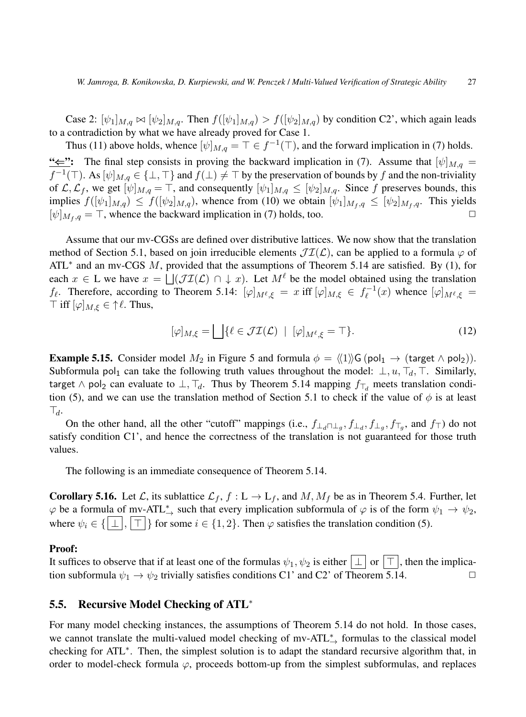Case 2:  $[\psi_1]_{M,q} \bowtie [\psi_2]_{M,q}$ . Then  $f([\psi_1]_{M,q}) > f([\psi_2]_{M,q})$  by condition C2', which again leads to a contradiction by what we have already proved for Case 1.

Thus (11) above holds, whence  $[\psi]_{M,q} = \top \in f^{-1}(\top)$ , and the forward implication in (7) holds. " $\Longleftrightarrow$ ": The final step consists in proving the backward implication in (7). Assume that  $[\psi]_{M,q} =$  $f^{-1}(\top)$ . As  $[\psi]_{M,q} \in \{\bot, \top\}$  and  $f(\bot) \neq \top$  by the preservation of bounds by f and the non-triviality of  $\mathcal{L}, \mathcal{L}_f$ , we get  $[\psi]_{M,q} = \top$ , and consequently  $[\psi_1]_{M,q} \leq [\psi_2]_{M,q}$ . Since f preserves bounds, this implies  $f([\psi_1]_{M,q}) \leq f([\psi_2]_{M,q})$ , whence from (10) we obtain  $[\psi_1]_{M_f,q} \leq [\psi_2]_{M_f,q}$ . This yields  $[\psi]_{M_f, q} = \top$ , whence the backward implication in (7) holds, too.

Assume that our mv-CGSs are defined over distributive lattices. We now show that the translation method of Section 5.1, based on join irreducible elements  $\mathcal{JI}(\mathcal{L})$ , can be applied to a formula  $\varphi$  of  $ATL<sup>*</sup>$  and an mv-CGS M, provided that the assumptions of Theorem 5.14 are satisfied. By (1), for each  $x \in L$  we have  $x = \bigcup_{i \in \mathcal{I}} \mathcal{I}(\mathcal{L}) \cap L(x)$ . Let  $M^{\ell}$  be the model obtained using the translation  $f_\ell$ . Therefore, according to Theorem 5.14:  $[\varphi]_{M^{\ell},\xi} = x$  iff  $[\varphi]_{M,\xi} \in f_\ell^{-1}$  $\int_{\ell}^{\infty}$  =  $[\varphi]_{M^{\ell},\xi}$  =  $\top$  iff  $[\varphi]_{M,\xi} \in \uparrow \ell$ . Thus,

$$
[\varphi]_{M,\xi} = \bigsqcup \{ \ell \in \mathcal{JI}(\mathcal{L}) \mid [\varphi]_{M^{\ell},\xi} = \top \}. \tag{12}
$$

**Example 5.15.** Consider model  $M_2$  in Figure 5 and formula  $\phi = \langle \langle 1 \rangle \rangle$ G (pol<sub>1</sub>  $\rightarrow$  (target  $\land$  pol<sub>2</sub>)). Subformula pol<sub>1</sub> can take the following truth values throughout the model:  $\bot, u, \top_d, \top$ . Similarly, target  $\wedge$  pol<sub>2</sub> can evaluate to  $\perp$ ,  $\top_d$ . Thus by Theorem 5.14 mapping  $f_{\top_d}$  meets translation condition (5), and we can use the translation method of Section 5.1 to check if the value of  $\phi$  is at least  $\top_d$ .

On the other hand, all the other "cutoff" mappings (i.e.,  $f_{\perp_d \sqcap \perp_g}$ ,  $f_{\perp_d}$ ,  $f_{\perp_g}$ ,  $f_{\top_g}$ , and  $f_{\top}$ ) do not satisfy condition C1', and hence the correctness of the translation is not guaranteed for those truth values.

The following is an immediate consequence of Theorem 5.14.

**Corollary 5.16.** Let  $\mathcal{L}$ , its sublattice  $\mathcal{L}_f$ ,  $f : L \to L_f$ , and  $M$ ,  $M_f$  be as in Theorem 5.4. Further, let  $\varphi$  be a formula of mv-ATL<sup>\*</sup>, such that every implication subformula of  $\varphi$  is of the form  $\psi_1 \to \psi_2$ , where  $\psi_i \in \{ \boxed{\perp}, \boxed{\top} \}$  for some  $i \in \{1, 2\}$ . Then  $\varphi$  satisfies the translation condition (5).

#### Proof:

It suffices to observe that if at least one of the formulas  $\psi_1, \psi_2$  is either  $\vert \bot \vert$  or  $\vert \top \vert$ , then the implication subformula  $\psi_1 \to \psi_2$  trivially satisfies conditions C1' and C2' of Theorem 5.14.

## 5.5. Recursive Model Checking of ATL<sup>∗</sup>

For many model checking instances, the assumptions of Theorem 5.14 do not hold. In those cases, we cannot translate the multi-valued model checking of mv-ATL<sup>\*</sup><sub>→</sub> formulas to the classical model checking for ATL<sup>\*</sup>. Then, the simplest solution is to adapt the standard recursive algorithm that, in order to model-check formula  $\varphi$ , proceeds bottom-up from the simplest subformulas, and replaces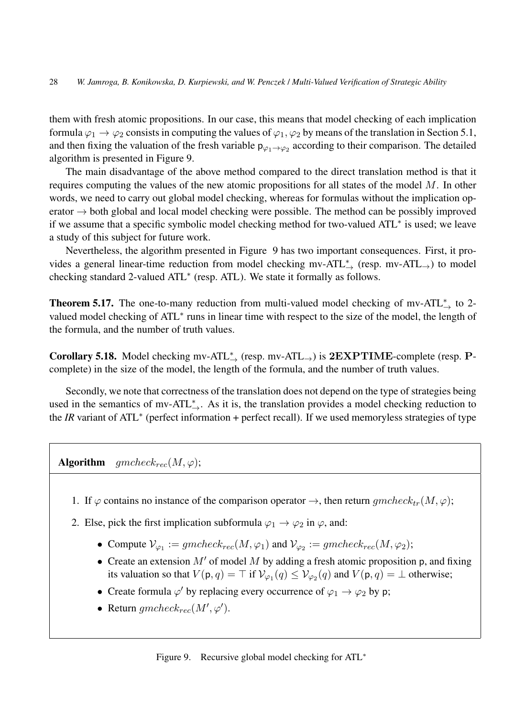them with fresh atomic propositions. In our case, this means that model checking of each implication formula  $\varphi_1 \to \varphi_2$  consists in computing the values of  $\varphi_1, \varphi_2$  by means of the translation in Section 5.1, and then fixing the valuation of the fresh variable  $p_{\varphi_1 \to \varphi_2}$  according to their comparison. The detailed algorithm is presented in Figure 9.

The main disadvantage of the above method compared to the direct translation method is that it requires computing the values of the new atomic propositions for all states of the model  $M$ . In other words, we need to carry out global model checking, whereas for formulas without the implication operator  $\rightarrow$  both global and local model checking were possible. The method can be possibly improved if we assume that a specific symbolic model checking method for two-valued ATL<sup>∗</sup> is used; we leave a study of this subject for future work.

Nevertheless, the algorithm presented in Figure 9 has two important consequences. First, it provides a general linear-time reduction from model checking mv-ATL<sup>\*</sup> (resp. mv-ATL→) to model checking standard 2-valued ATL<sup>\*</sup> (resp. ATL). We state it formally as follows.

**Theorem 5.17.** The one-to-many reduction from multi-valued model checking of mv-ATL<sup>\*</sup>, to 2valued model checking of ATL<sup>\*</sup> runs in linear time with respect to the size of the model, the length of the formula, and the number of truth values.

Corollary 5.18. Model checking mv-ATL<sup>\*</sup> (resp. mv-ATL<sub>→</sub>) is  $2EXPTIME$ -complete (resp. Pcomplete) in the size of the model, the length of the formula, and the number of truth values.

Secondly, we note that correctness of the translation does not depend on the type of strategies being used in the semantics of mv-ATL<sup>\*</sup><sub>→</sub>. As it is, the translation provides a model checking reduction to the *IR* variant of ATL<sup>\*</sup> (perfect information + perfect recall). If we used memoryless strategies of type

Algorithm  $qmcheck_{rec}(M, \varphi);$ 

- 1. If  $\varphi$  contains no instance of the comparison operator  $\rightarrow$ , then return gmcheck<sub>tr</sub>(M,  $\varphi$ );
- 2. Else, pick the first implication subformula  $\varphi_1 \to \varphi_2$  in  $\varphi$ , and:
	- Compute  $\mathcal{V}_{\varphi_1} := \text{gmc} \text{hec} \kappa_{\text{rec}}(M, \varphi_1)$  and  $\mathcal{V}_{\varphi_2} := \text{gmc} \text{hec} \kappa_{\text{rec}}(M, \varphi_2)$ ;
	- Create an extension  $M'$  of model M by adding a fresh atomic proposition p, and fixing its valuation so that  $V(\mathsf{p},q)=\top$  if  $\mathcal{V}_{\varphi_1}(q)\leq \mathcal{V}_{\varphi_2}(q)$  and  $V(\mathsf{p},q)=\bot$  otherwise;
	- Create formula  $\varphi'$  by replacing every occurrence of  $\varphi_1 \to \varphi_2$  by p;
	- Return gmcheck<sub>rec</sub> $(M', \varphi')$ .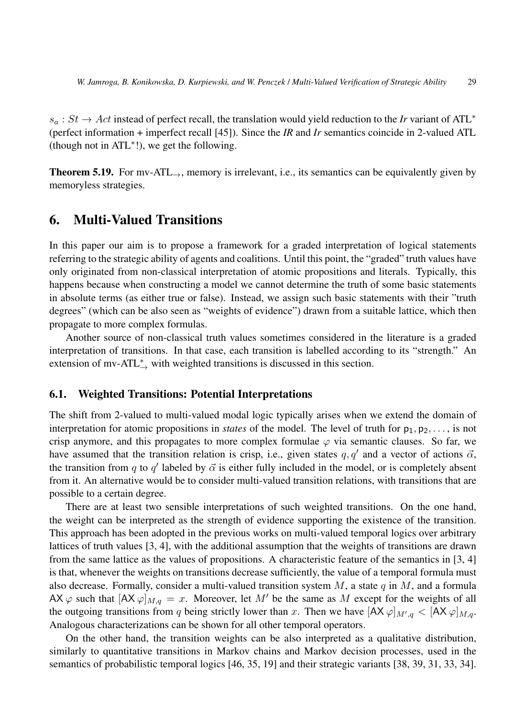$s_a : St \to Act$  instead of perfect recall, the translation would yield reduction to the *Ir* variant of ATL<sup>\*</sup> (perfect information + imperfect recall [45]). Since the *IR* and *Ir* semantics coincide in 2-valued ATL (though not in ATL<sup>∗</sup> !), we get the following.

**Theorem 5.19.** For mv-ATL<sub>→</sub>, memory is irrelevant, i.e., its semantics can be equivalently given by memoryless strategies.

# 6. Multi-Valued Transitions

In this paper our aim is to propose a framework for a graded interpretation of logical statements referring to the strategic ability of agents and coalitions. Until this point, the "graded" truth values have only originated from non-classical interpretation of atomic propositions and literals. Typically, this happens because when constructing a model we cannot determine the truth of some basic statements in absolute terms (as either true or false). Instead, we assign such basic statements with their "truth degrees" (which can be also seen as "weights of evidence") drawn from a suitable lattice, which then propagate to more complex formulas.

Another source of non-classical truth values sometimes considered in the literature is a graded interpretation of transitions. In that case, each transition is labelled according to its "strength." An extension of mv-ATL<sup>\*</sup>, with weighted transitions is discussed in this section.

## 6.1. Weighted Transitions: Potential Interpretations

The shift from 2-valued to multi-valued modal logic typically arises when we extend the domain of interpretation for atomic propositions in *states* of the model. The level of truth for  $p_1, p_2, \ldots$ , is not crisp anymore, and this propagates to more complex formulae  $\varphi$  via semantic clauses. So far, we have assumed that the transition relation is crisp, i.e., given states  $q, q'$  and a vector of actions  $\vec{\alpha}$ , the transition from q to q' labeled by  $\vec{\alpha}$  is either fully included in the model, or is completely absent from it. An alternative would be to consider multi-valued transition relations, with transitions that are possible to a certain degree.

There are at least two sensible interpretations of such weighted transitions. On the one hand, the weight can be interpreted as the strength of evidence supporting the existence of the transition. This approach has been adopted in the previous works on multi-valued temporal logics over arbitrary lattices of truth values [3, 4], with the additional assumption that the weights of transitions are drawn from the same lattice as the values of propositions. A characteristic feature of the semantics in [3, 4] is that, whenever the weights on transitions decrease sufficiently, the value of a temporal formula must also decrease. Formally, consider a multi-valued transition system  $M$ , a state  $q$  in  $M$ , and a formula AX  $\varphi$  such that  $[AX \varphi]_{M,q} = x$ . Moreover, let M' be the same as M except for the weights of all the outgoing transitions from q being strictly lower than x. Then we have  $[AX \varphi]_{M',q} < [AX \varphi]_{M,q}$ . Analogous characterizations can be shown for all other temporal operators.

On the other hand, the transition weights can be also interpreted as a qualitative distribution, similarly to quantitative transitions in Markov chains and Markov decision processes, used in the semantics of probabilistic temporal logics [46, 35, 19] and their strategic variants [38, 39, 31, 33, 34].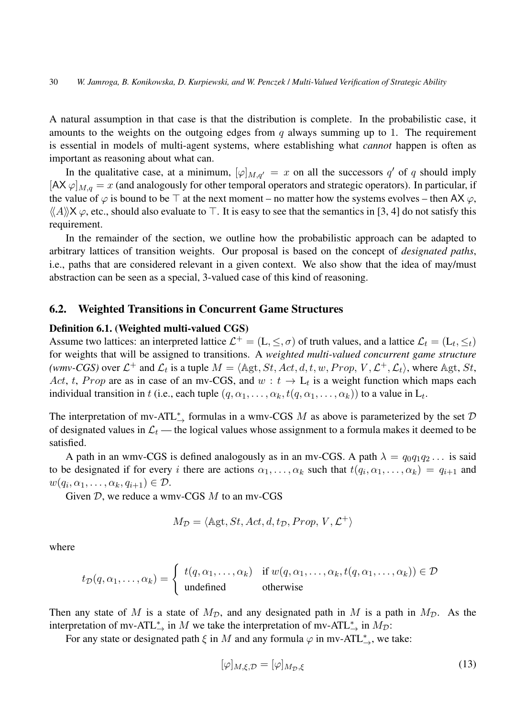A natural assumption in that case is that the distribution is complete. In the probabilistic case, it amounts to the weights on the outgoing edges from  $q$  always summing up to 1. The requirement is essential in models of multi-agent systems, where establishing what *cannot* happen is often as important as reasoning about what can.

In the qualitative case, at a minimum,  $[\varphi]_{M,q'} = x$  on all the successors q' of q should imply [AX  $\varphi|_{M,q} = x$  (and analogously for other temporal operators and strategic operators). In particular, if the value of  $\varphi$  is bound to be  $\top$  at the next moment – no matter how the systems evolves – then AX  $\varphi$ ,  $\langle A \rangle$ X  $\varphi$ , etc., should also evaluate to  $\top$ . It is easy to see that the semantics in [3, 4] do not satisfy this requirement.

In the remainder of the section, we outline how the probabilistic approach can be adapted to arbitrary lattices of transition weights. Our proposal is based on the concept of *designated paths*, i.e., paths that are considered relevant in a given context. We also show that the idea of may/must abstraction can be seen as a special, 3-valued case of this kind of reasoning.

## 6.2. Weighted Transitions in Concurrent Game Structures

### Definition 6.1. (Weighted multi-valued CGS)

Assume two lattices: an interpreted lattice  $\mathcal{L}^+ = (L, \leq, \sigma)$  of truth values, and a lattice  $\mathcal{L}_t = (L_t, \leq_t)$ for weights that will be assigned to transitions. A *weighted multi-valued concurrent game structure* (wmv-CGS) over  $\mathcal{L}^+$  and  $\mathcal{L}_t$  is a tuple  $M = \langle \text{Agt}, St, Act, d, t, w, Prop, V, \mathcal{L}^+, \mathcal{L}_t \rangle$ , where  $\text{Agt}, St$ , Act, t, Prop are as in case of an mv-CGS, and  $w : t \to L_t$  is a weight function which maps each individual transition in t (i.e., each tuple  $(q, \alpha_1, \dots, \alpha_k, t(q, \alpha_1, \dots, \alpha_k))$  to a value in  $L_t$ .

The interpretation of mv-ATL<sup>\*</sup>, formulas in a wmv-CGS M as above is parameterized by the set D of designated values in  $\mathcal{L}_t$  — the logical values whose assignment to a formula makes it deemed to be satisfied.

A path in an wmv-CGS is defined analogously as in an mv-CGS. A path  $\lambda = q_0q_1q_2...$  is said to be designated if for every *i* there are actions  $\alpha_1, \dots, \alpha_k$  such that  $t(q_i, \alpha_1, \dots, \alpha_k) = q_{i+1}$  and  $w(q_i, \alpha_1, \ldots, \alpha_k, q_{i+1}) \in \mathcal{D}.$ 

Given  $D$ , we reduce a wmv-CGS  $M$  to an mv-CGS

$$
M_{\mathcal{D}} = \langle \mathbb{A}\text{gt}, St, Act, d, t_{\mathcal{D}}, Prop, V, \mathcal{L}^+ \rangle
$$

where

$$
t_{\mathcal{D}}(q, \alpha_1, \dots, \alpha_k) = \begin{cases} t(q, \alpha_1, \dots, \alpha_k) & \text{if } w(q, \alpha_1, \dots, \alpha_k, t(q, \alpha_1, \dots, \alpha_k)) \in \mathcal{D} \\ \text{undefined} & \text{otherwise} \end{cases}
$$

Then any state of M is a state of  $M_{\mathcal{D}}$ , and any designated path in M is a path in  $M_{\mathcal{D}}$ . As the interpretation of mv-ATL<sup>\*</sup> in M we take the interpretation of mv-ATL<sup>\*</sup> in M<sub>D</sub>:

For any state or designated path  $\xi$  in M and any formula  $\varphi$  in mv-ATL<sup>\*</sup><sub>→</sub>, we take:

$$
[\varphi]_{M,\xi,\mathcal{D}} = [\varphi]_{M_{\mathcal{D}},\xi} \tag{13}
$$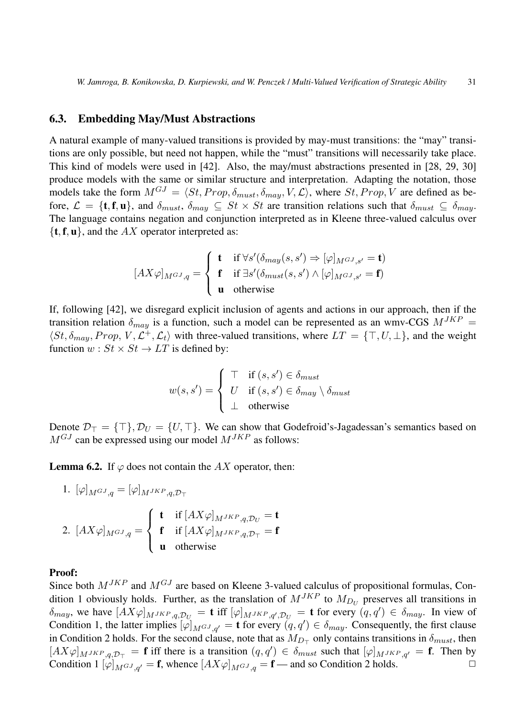## 6.3. Embedding May/Must Abstractions

A natural example of many-valued transitions is provided by may-must transitions: the "may" transitions are only possible, but need not happen, while the "must" transitions will necessarily take place. This kind of models were used in [42]. Also, the may/must abstractions presented in [28, 29, 30] produce models with the same or similar structure and interpretation. Adapting the notation, those models take the form  $M^{GJ} = \langle St, Prop, \delta_{must}, \delta_{mau}, V, \mathcal{L} \rangle$ , where  $St, Prop, V$  are defined as before,  $\mathcal{L} = \{\mathbf{t}, \mathbf{f}, \mathbf{u}\}\$ , and  $\delta_{must}$ ,  $\delta_{may} \subseteq St \times St$  are transition relations such that  $\delta_{must} \subseteq \delta_{may}$ . The language contains negation and conjunction interpreted as in Kleene three-valued calculus over  $\{t, f, u\}$ , and the AX operator interpreted as:

$$
[AX\varphi]_{M^{GJ},q} = \begin{cases} \mathbf{t} & \text{if } \forall s'(\delta_{may}(s,s') \Rightarrow [\varphi]_{M^{GJ},s'} = \mathbf{t}) \\ \mathbf{f} & \text{if } \exists s'(\delta_{must}(s,s') \land [\varphi]_{M^{GJ},s'} = \mathbf{f}) \\ \mathbf{u} & \text{otherwise} \end{cases}
$$

If, following [42], we disregard explicit inclusion of agents and actions in our approach, then if the transition relation  $\delta_{may}$  is a function, such a model can be represented as an wmv-CGS  $M^{JKP}$  =  $\langle St, \delta_{may}, Prop, V, \mathcal{L}^+, \mathcal{L}_t \rangle$  with three-valued transitions, where  $LT = \{\top, U, \bot\}$ , and the weight function  $w : St \times St \rightarrow LT$  is defined by:

$$
w(s, s') = \begin{cases} \top & \text{if } (s, s') \in \delta_{must} \\ U & \text{if } (s, s') \in \delta_{may} \setminus \delta_{must} \\ \bot & \text{otherwise} \end{cases}
$$

Denote  $\mathcal{D}_{\perp} = {\{\top\}, \mathcal{D}_{U} = {U, \top\}}$ . We can show that Godefroid's-Jagadessan's semantics based on  $M^{GJ}$  can be expressed using our model  $M^{JKP}$  as follows:

**Lemma 6.2.** If  $\varphi$  does not contain the AX operator, then:

1. 
$$
[\varphi]_{M^{GJ},q} = [\varphi]_{M^{JKP},q,\mathcal{D}_{\top}}
$$
  
\n2.  $[AX\varphi]_{M^{GJ},q} = \begin{cases} \mathbf{t} & \text{if } [AX\varphi]_{M^{JKP},q,\mathcal{D}_{U}} = \mathbf{t} \\ \mathbf{f} & \text{if } [AX\varphi]_{M^{JKP},q,\mathcal{D}_{\top}} = \mathbf{f} \\ \mathbf{u} & \text{otherwise} \end{cases}$ 

#### Proof:

Since both  $M^{JKP}$  and  $M^{GJ}$  are based on Kleene 3-valued calculus of propositional formulas, Condition 1 obviously holds. Further, as the translation of  $M^{JKP}$  to  $M_{D_U}$  preserves all transitions in  $\delta_{may}$ , we have  $[AX\varphi]_{M^{JKP},q,\mathcal{D}_U} = \mathbf{t}$  iff  $[\varphi]_{M^{JKP},q',\mathcal{D}_U} = \mathbf{t}$  for every  $(q,q') \in \delta_{may}$ . In view of Condition 1, the latter implies  $[\varphi]_{M^{GJ},q'} = \mathbf{t}$  for every  $(q, q') \in \delta_{may}$ . Consequently, the first clause in Condition 2 holds. For the second clause, note that as  $M_{D_{\top}}$  only contains transitions in  $\delta_{must}$ , then  $[AX\varphi]_{MJKP,q,\mathcal{D}_{\top}} = \mathbf{f}$  iff there is a transition  $(q,q') \in \delta_{must}$  such that  $[\varphi]_{MJKP,q'} = \mathbf{f}$ . Then by Condition 1  $[\varphi]_{M^{GJ},q'} = \mathbf{f}$ , whence  $[AX\varphi]_{M^{GJ},q} = \mathbf{f}$  and so Condition 2 holds.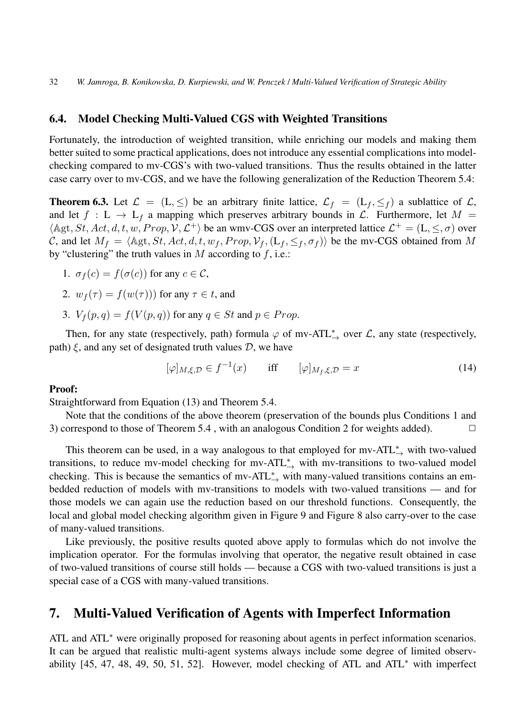## 6.4. Model Checking Multi-Valued CGS with Weighted Transitions

Fortunately, the introduction of weighted transition, while enriching our models and making them better suited to some practical applications, does not introduce any essential complications into modelchecking compared to mv-CGS's with two-valued transitions. Thus the results obtained in the latter case carry over to mv-CGS, and we have the following generalization of the Reduction Theorem 5.4:

**Theorem 6.3.** Let  $\mathcal{L} = (L, \leq)$  be an arbitrary finite lattice,  $\mathcal{L}_f = (L_f, \leq_f)$  a sublattice of  $\mathcal{L}$ , and let  $f : L \to L_f$  a mapping which preserves arbitrary bounds in  $\mathcal{L}$ . Furthermore, let  $M =$  $\langle \text{Agt}, St, Act, d, t, w, Prop, V, \mathcal{L}^+ \rangle$  be an wmv-CGS over an interpreted lattice  $\mathcal{L}^+ = (L, \leq, \sigma)$  over C, and let  $M_f = \langle \text{Agt}, St, Act, d, t, w_f, Prop, V_f, (L_f, \leq_f, \sigma_f) \rangle$  be the mv-CGS obtained from M by "clustering" the truth values in  $M$  according to  $f$ , i.e.:

1. 
$$
\sigma_f(c) = f(\sigma(c))
$$
 for any  $c \in \mathcal{C}$ ,

2. 
$$
w_f(\tau) = f(w(\tau))
$$
 for any  $\tau \in t$ , and

3.  $V_f(p,q) = f(V(p,q))$  for any  $q \in St$  and  $p \in Prop.$ 

Then, for any state (respectively, path) formula  $\varphi$  of mv-ATL<sup>\*</sup>, over  $\mathcal{L}$ , any state (respectively, path)  $\xi$ , and any set of designated truth values  $D$ , we have

$$
[\varphi]_{M,\xi,\mathcal{D}} \in f^{-1}(x) \quad \text{iff} \quad [\varphi]_{M_f,\xi,\mathcal{D}} = x \tag{14}
$$

# Proof:

Straightforward from Equation (13) and Theorem 5.4.

Note that the conditions of the above theorem (preservation of the bounds plus Conditions 1 and 3) correspond to those of Theorem 5.4, with an analogous Condition 2 for weights added).  $\Box$ 

This theorem can be used, in a way analogous to that employed for mv-ATL<sup>\*</sup><sub>→</sub> with two-valued transitions, to reduce mv-model checking for mv-ATL<sup>\*</sup>, with mv-transitions to two-valued model checking. This is because the semantics of mv-ATL<sup>\*</sup>, with many-valued transitions contains an embedded reduction of models with mv-transitions to models with two-valued transitions — and for those models we can again use the reduction based on our threshold functions. Consequently, the local and global model checking algorithm given in Figure 9 and Figure 8 also carry-over to the case of many-valued transitions.

Like previously, the positive results quoted above apply to formulas which do not involve the implication operator. For the formulas involving that operator, the negative result obtained in case of two-valued transitions of course still holds — because a CGS with two-valued transitions is just a special case of a CGS with many-valued transitions.

# 7. Multi-Valued Verification of Agents with Imperfect Information

ATL and ATL<sup>∗</sup> were originally proposed for reasoning about agents in perfect information scenarios. It can be argued that realistic multi-agent systems always include some degree of limited observability [45, 47, 48, 49, 50, 51, 52]. However, model checking of ATL and ATL<sup>∗</sup> with imperfect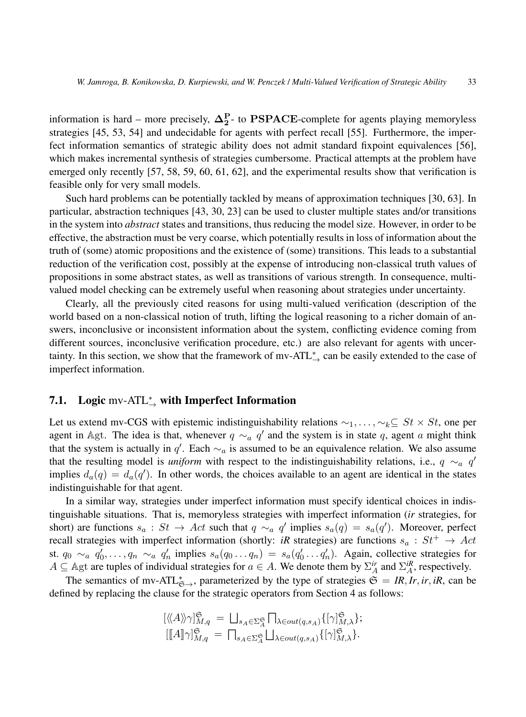information is hard – more precisely,  $\Delta_2^P$ - to PSPACE-complete for agents playing memoryless strategies [45, 53, 54] and undecidable for agents with perfect recall [55]. Furthermore, the imperfect information semantics of strategic ability does not admit standard fixpoint equivalences [56], which makes incremental synthesis of strategies cumbersome. Practical attempts at the problem have emerged only recently [57, 58, 59, 60, 61, 62], and the experimental results show that verification is feasible only for very small models.

Such hard problems can be potentially tackled by means of approximation techniques [30, 63]. In particular, abstraction techniques [43, 30, 23] can be used to cluster multiple states and/or transitions in the system into *abstract* states and transitions, thus reducing the model size. However, in order to be effective, the abstraction must be very coarse, which potentially results in loss of information about the truth of (some) atomic propositions and the existence of (some) transitions. This leads to a substantial reduction of the verification cost, possibly at the expense of introducing non-classical truth values of propositions in some abstract states, as well as transitions of various strength. In consequence, multivalued model checking can be extremely useful when reasoning about strategies under uncertainty.

Clearly, all the previously cited reasons for using multi-valued verification (description of the world based on a non-classical notion of truth, lifting the logical reasoning to a richer domain of answers, inconclusive or inconsistent information about the system, conflicting evidence coming from different sources, inconclusive verification procedure, etc.) are also relevant for agents with uncertainty. In this section, we show that the framework of mv-ATL<sup>\*</sup>, can be easily extended to the case of imperfect information.

# 7.1. Logic mv-ATL<sup>\*</sup> with Imperfect Information

Let us extend mv-CGS with epistemic indistinguishability relations  $\sim_1, \ldots, \sim_k \subseteq St \times St$ , one per agent in Agt. The idea is that, whenever  $q \sim_a q'$  and the system is in state q, agent a might think that the system is actually in  $q'$ . Each  $\sim_a$  is assumed to be an equivalence relation. We also assume that the resulting model is *uniform* with respect to the indistinguishability relations, i.e.,  $q \sim_a q'$ implies  $d_a(q) = d_a(q')$ . In other words, the choices available to an agent are identical in the states indistinguishable for that agent.

In a similar way, strategies under imperfect information must specify identical choices in indistinguishable situations. That is, memoryless strategies with imperfect information (*ir* strategies, for short) are functions  $s_a : St \to Act$  such that  $q \sim_a q'$  implies  $s_a(q) = s_a(q')$ . Moreover, perfect recall strategies with imperfect information (shortly: *iR* strategies) are functions  $s_a : St^+ \rightarrow Act$ st.  $q_0 \sim_a q'_0, \ldots, q_n \sim_a q'_n$  implies  $s_a(q_0 \ldots q_n) = s_a(q'_0 \ldots q'_n)$ . Again, collective strategies for  $A \subseteq$  Agt are tuples of individual strategies for  $a \in A$ . We denote them by  $\Sigma_A^{ir}$  and  $\Sigma_A^{iR}$ , respectively.

The semantics of mv-ATL<sup>\*</sup><sub>C→</sub>, parameterized by the type of strategies  $\mathfrak{S} = IR, Ir, ir, iR$ , can be defined by replacing the clause for the strategic operators from Section 4 as follows:

$$
\begin{aligned}\n\left[ \langle \langle A \rangle \rangle \gamma \right]_{M,q}^{\mathfrak{S}} &= \bigsqcup_{s_A \in \Sigma_A^{\mathfrak{S}}} \bigcap_{\lambda \in out(q,s_A)} \{ [\gamma]_{M,\lambda}^{\mathfrak{S}} \}; \\
\left[ [A] \gamma \right]_{M,q}^{\mathfrak{S}} &= \bigcap_{s_A \in \Sigma_A^{\mathfrak{S}}} \bigsqcup_{\lambda \in out(q,s_A)} \{ [\gamma]_{M,\lambda}^{\mathfrak{S}} \}.\n\end{aligned}
$$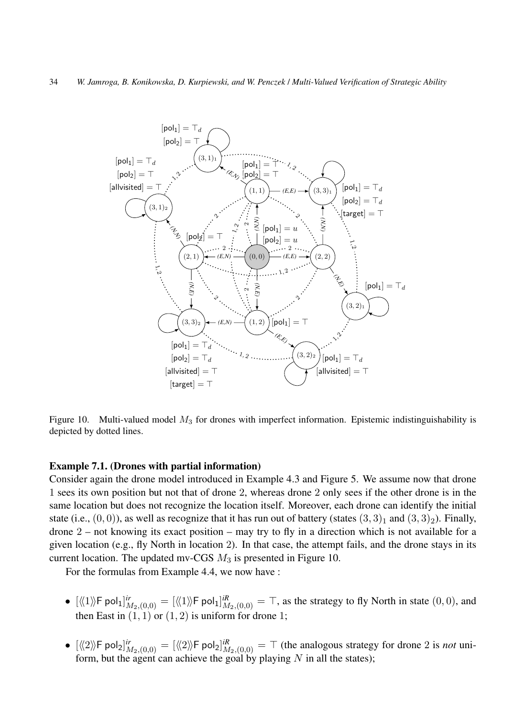

Figure 10. Multi-valued model  $M_3$  for drones with imperfect information. Epistemic indistinguishability is depicted by dotted lines.

#### Example 7.1. (Drones with partial information)

Consider again the drone model introduced in Example 4.3 and Figure 5. We assume now that drone 1 sees its own position but not that of drone 2, whereas drone 2 only sees if the other drone is in the same location but does not recognize the location itself. Moreover, each drone can identify the initial state (i.e.,  $(0,0)$ ), as well as recognize that it has run out of battery (states  $(3,3)_1$  and  $(3,3)_2$ ). Finally, drone  $2$  – not knowing its exact position – may try to fly in a direction which is not available for a given location (e.g., fly North in location 2). In that case, the attempt fails, and the drone stays in its current location. The updated mv-CGS  $M_3$  is presented in Figure 10.

For the formulas from Example 4.4, we now have :

- $\bullet$   $[\langle\langle 1 \rangle \rangle \vdash \mathsf{pol}_1]_{M_2,(0,0)}^{ir} = [\langle\langle 1 \rangle \rangle \vdash \mathsf{pol}_1]_{M_2,(0,0)}^{ir} = \top$ , as the strategy to fly North in state  $(0,0)$ , and then East in  $(1, 1)$  or  $(1, 2)$  is uniform for drone 1;
- $[\langle\langle 2 \rangle\rangle$ F pol<sub>2</sub>] $_{M_2,(0,0)}^{ir} = [\langle\langle 2 \rangle\rangle$ F pol<sub>2</sub>] $_{M_2,(0,0)}^{ir} = \top$  (the analogous strategy for drone 2 is *not* uniform, but the agent can achieve the goal by playing  $N$  in all the states);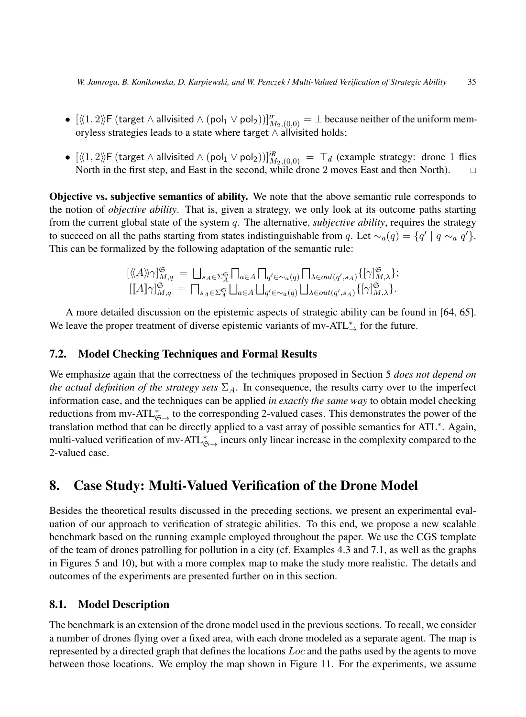- $[\langle\!\langle 1, 2 \rangle\!\rangle$ F (target ∧ allvisited ∧ (pol<sub>1</sub> ∨ pol<sub>2</sub>))] $\vert^ir_{M_2,(0,0)} = \bot$  because neither of the uniform memoryless strategies leads to a state where target ∧ allvisited holds;
- $\bullet$   $[⟨|1, 2⟩$ F (target ∧ allvisited ∧ (pol<sub>1</sub> ∨ pol<sub>2</sub>))] $\frac{ik}{M_2,(0,0)} = \top_d$  (example strategy: drone 1 flies North in the first step, and East in the second, while drone 2 moves East and then North).  $\square$

Objective vs. subjective semantics of ability. We note that the above semantic rule corresponds to the notion of *objective ability*. That is, given a strategy, we only look at its outcome paths starting from the current global state of the system q. The alternative, *subjective ability*, requires the strategy to succeed on all the paths starting from states indistinguishable from q. Let  $\sim_a(q) = \{q' \mid q \sim_a q'\}.$ This can be formalized by the following adaptation of the semantic rule:

$$
\begin{aligned}\n\left[ \langle \langle A \rangle \rangle \gamma \right]_{M,q}^{\mathfrak{S}} &= \bigcup_{s_A \in \Sigma_A^{\mathfrak{S}}} \bigcap_{a \in A} \bigcap_{q' \in \sim_a(q)} \bigcap_{\lambda \in out(q',s_A)} \{ [\gamma]_{M,\lambda}^{\mathfrak{S}} \} ; \\
\left[ [A] \gamma \right]_{M,q}^{\mathfrak{S}} &= \bigcap_{s_A \in \Sigma_A^{\mathfrak{S}}} \bigcup_{a \in A} \bigcup_{q' \in \sim_a(q)} \bigcup_{\lambda \in out(q',s_A)} \{ [\gamma]_{M,\lambda}^{\mathfrak{S}} \}.\n\end{aligned}
$$

A more detailed discussion on the epistemic aspects of strategic ability can be found in [64, 65]. We leave the proper treatment of diverse epistemic variants of mv-ATL<sup>\*</sup> for the future.

# 7.2. Model Checking Techniques and Formal Results

We emphasize again that the correctness of the techniques proposed in Section 5 *does not depend on the actual definition of the strategy sets*  $\Sigma_A$ . In consequence, the results carry over to the imperfect information case, and the techniques can be applied *in exactly the same way* to obtain model checking reductions from mv-ATL<sup>\*</sup><sub> $\mathfrak{S}$ → to the corresponding 2-valued cases. This demonstrates the power of the</sub> translation method that can be directly applied to a vast array of possible semantics for ATL<sup>∗</sup>. Again, multi-valued verification of mv-ATL $_{\mathfrak{S}\to}^*$  incurs only linear increase in the complexity compared to the 2-valued case.

# 8. Case Study: Multi-Valued Verification of the Drone Model

Besides the theoretical results discussed in the preceding sections, we present an experimental evaluation of our approach to verification of strategic abilities. To this end, we propose a new scalable benchmark based on the running example employed throughout the paper. We use the CGS template of the team of drones patrolling for pollution in a city (cf. Examples 4.3 and 7.1, as well as the graphs in Figures 5 and 10), but with a more complex map to make the study more realistic. The details and outcomes of the experiments are presented further on in this section.

# 8.1. Model Description

The benchmark is an extension of the drone model used in the previous sections. To recall, we consider a number of drones flying over a fixed area, with each drone modeled as a separate agent. The map is represented by a directed graph that defines the locations  $Loc$  and the paths used by the agents to move between those locations. We employ the map shown in Figure 11. For the experiments, we assume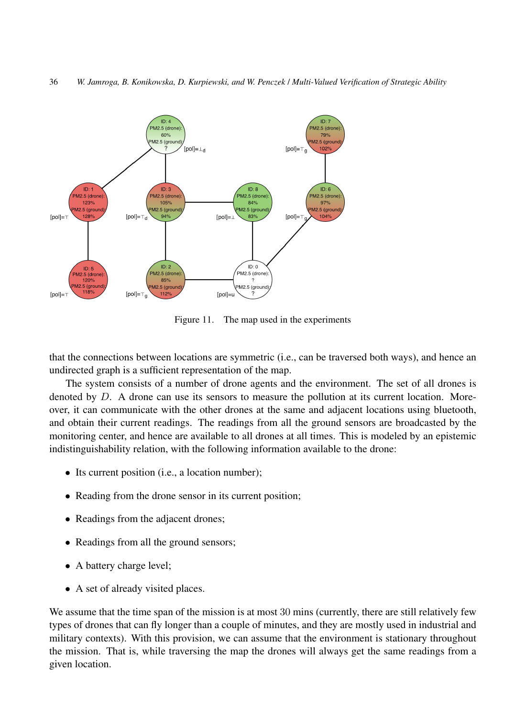

Figure 11. The map used in the experiments

that the connections between locations are symmetric (i.e., can be traversed both ways), and hence an undirected graph is a sufficient representation of the map.

The system consists of a number of drone agents and the environment. The set of all drones is denoted by  $D$ . A drone can use its sensors to measure the pollution at its current location. Moreover, it can communicate with the other drones at the same and adjacent locations using bluetooth, and obtain their current readings. The readings from all the ground sensors are broadcasted by the monitoring center, and hence are available to all drones at all times. This is modeled by an epistemic indistinguishability relation, with the following information available to the drone:

- Its current position (i.e., a location number);
- Reading from the drone sensor in its current position;
- Readings from the adjacent drones;
- Readings from all the ground sensors;
- A battery charge level;
- A set of already visited places.

We assume that the time span of the mission is at most 30 mins (currently, there are still relatively few types of drones that can fly longer than a couple of minutes, and they are mostly used in industrial and military contexts). With this provision, we can assume that the environment is stationary throughout the mission. That is, while traversing the map the drones will always get the same readings from a given location.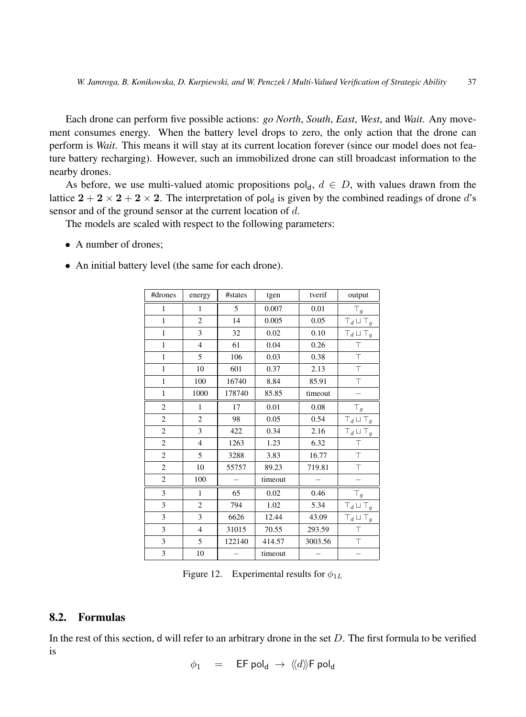Each drone can perform five possible actions: *go North*, *South*, *East*, *West*, and *Wait*. Any movement consumes energy. When the battery level drops to zero, the only action that the drone can perform is *Wait*. This means it will stay at its current location forever (since our model does not feature battery recharging). However, such an immobilized drone can still broadcast information to the nearby drones.

As before, we use multi-valued atomic propositions pol<sub>d</sub>,  $d \in D$ , with values drawn from the lattice  $2 + 2 \times 2 + 2 \times 2$ . The interpretation of pol<sub>d</sub> is given by the combined readings of drone d's sensor and of the ground sensor at the current location of d.

The models are scaled with respect to the following parameters:

- A number of drones;
- An initial battery level (the same for each drone).

| #drones                 | energy                      | #states | tgen    | tverif  | output                             |
|-------------------------|-----------------------------|---------|---------|---------|------------------------------------|
| $\mathbf{1}$            | $\mathbf{1}$                | 5       | 0.007   | 0.01    | $\top_g$                           |
| $\mathbf{1}$            | $\mathfrak{2}$              | 14      | 0.005   | 0.05    | $\top_d \sqcup \top_g$             |
| $\mathbf{1}$            | 3                           | 32      | 0.02    | 0.10    | $\top_d \sqcup \top_g$             |
| 1                       | $\overline{4}$              | 61      | 0.04    | 0.26    | Τ                                  |
| $\mathbf{1}$            | 5                           | 106     | 0.03    | 0.38    | Τ                                  |
| $\mathbf{1}$            | 10                          | 601     | 0.37    | 2.13    | Τ                                  |
| $\mathbf{1}$            | 100                         | 16740   | 8.84    | 85.91   | Τ                                  |
| $\mathbf{1}$            | 1000                        | 178740  | 85.85   | timeout |                                    |
| $\overline{c}$          | $\mathbf{1}$                | 17      | 0.01    | 0.08    | $\mathbf{\bar{T}}_{\underline{g}}$ |
| $\overline{c}$          | $\overline{c}$              | 98      | 0.05    | 0.54    | $\top_d \sqcup \top_g$             |
| $\mathbf{2}$            | 3                           | 422     | 0.34    | 2.16    | $\top_d \sqcup \top_g$             |
| $\overline{c}$          | $\overline{4}$              | 1263    | 1.23    | 6.32    | T                                  |
| $\overline{c}$          | 5                           | 3288    | 3.83    | 16.77   | Τ                                  |
| $\mathbf{2}$            | 10                          | 55757   | 89.23   | 719.81  | Τ                                  |
| $\sqrt{2}$              | 100                         |         | timeout |         |                                    |
| 3                       | $\mathbf{1}$                | 65      | 0.02    | 0.46    | $T_g$                              |
| 3                       | $\overline{c}$              | 794     | 1.02    | 5.34    | $\top_d \sqcup \top_g$             |
| 3                       | $\ensuremath{\mathfrak{Z}}$ | 6626    | 12.44   | 43.09   | $\top_d \sqcup \top_g$             |
| $\overline{\mathbf{3}}$ | $\overline{4}$              | 31015   | 70.55   | 293.59  | T                                  |
| 3                       | 5                           | 122140  | 414.57  | 3003.56 | $\top$                             |
| 3                       | 10                          |         | timeout |         |                                    |

Figure 12. Experimental results for  $\phi_{1L}$ 

# 8.2. Formulas

In the rest of this section, d will refer to an arbitrary drone in the set D. The first formula to be verified is

 $\phi_1$  = EF pol<sub>d</sub>  $\rightarrow \langle \langle d \rangle \rangle$ F pol<sub>d</sub>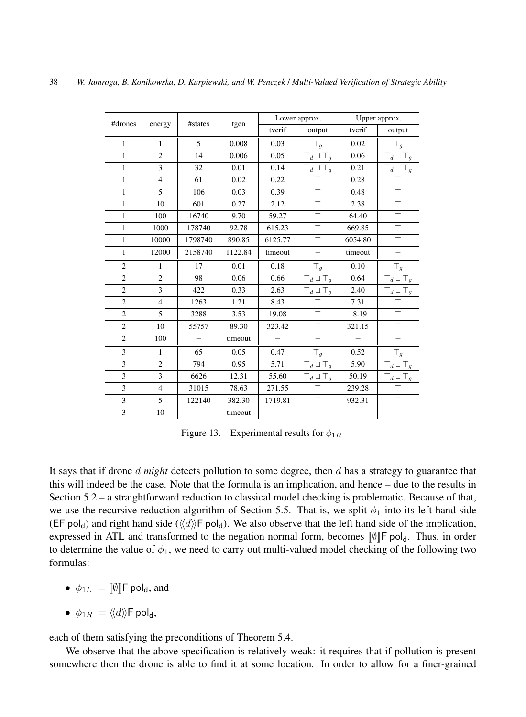| #drones        | energy         | #states  | tgen    | Lower approx. |                              | Upper approx. |                        |
|----------------|----------------|----------|---------|---------------|------------------------------|---------------|------------------------|
|                |                |          |         | tverif        | output                       | tverif        | output                 |
| $\mathbf{1}$   | $\mathbf{1}$   | 5        | 0.008   | 0.03          | $T_{g}$                      | 0.02          | $\bar{d}$              |
| $\mathbf{1}$   | $\overline{c}$ | 14       | 0.006   | 0.05          | $\top_d \sqcup \top_g$       | 0.06          | $\top_d \sqcup \top_g$ |
| $\mathbf{1}$   | 3              | 32       | 0.01    | 0.14          | $\top_d \sqcup \top_g$       | 0.21          | $\top_d \sqcup \top_g$ |
| $\mathbf{1}$   | $\overline{4}$ | 61       | 0.02    | 0.22          | T                            | 0.28          | Τ                      |
| $\mathbf{1}$   | 5              | 106      | 0.03    | 0.39          | Τ                            | 0.48          | Τ                      |
| $\mathbf{1}$   | 10             | 601      | 0.27    | 2.12          | T                            | 2.38          | Τ                      |
| $\mathbf{1}$   | 100            | 16740    | 9.70    | 59.27         | $\top$                       | 64.40         | $\top$                 |
| $\mathbf{1}$   | 1000           | 178740   | 92.78   | 615.23        | $\top$                       | 669.85        | Τ                      |
| $\mathbf{1}$   | 10000          | 1798740  | 890.85  | 6125.77       | T                            | 6054.80       | $\top$                 |
| $\mathbf{1}$   | 12000          | 2158740  | 1122.84 | timeout       | $\equiv$                     | timeout       | $\qquad \qquad -$      |
| $\overline{c}$ | $\mathbf{1}$   | 17       | 0.01    | 0.18          | $\top_g$                     | 0.10          | $\bar{d}$              |
| $\overline{2}$ | $\overline{c}$ | 98       | 0.06    | 0.66          | $\top_d \sqcup \top_g$       | 0.64          | $\top_d \sqcup \top_g$ |
| $\overline{2}$ | 3              | 422      | 0.33    | 2.63          | $\top_d \sqcup \top_g$       | 2.40          | $\top_d \sqcup \top_g$ |
| $\overline{2}$ | $\overline{4}$ | 1263     | 1.21    | 8.43          | T                            | 7.31          | Τ                      |
| $\mathbf{2}$   | 5              | 3288     | 3.53    | 19.08         | $\top$                       | 18.19         | $\top$                 |
| $\overline{2}$ | 10             | 55757    | 89.30   | 323.42        | T                            | 321.15        | $\top$                 |
| $\mathbf{2}$   | 100            | $\equiv$ | timeout | $\equiv$      |                              | $\equiv$      | $\qquad \qquad -$      |
| 3              | $\mathbf{1}$   | 65       | 0.05    | 0.47          | $\mathsf{T}_{\underline{g}}$ | 0.52          | $\bar{d}$              |
| 3              | $\mathbf{2}$   | 794      | 0.95    | 5.71          | $\top_d \sqcup \top_g$       | 5.90          | $\top_d \sqcup \top_g$ |
| $\overline{3}$ | 3              | 6626     | 12.31   | 55.60         | $\top_d \sqcup \top_g$       | 50.19         | $\top_d \sqcup \top_g$ |
| 3              | $\overline{4}$ | 31015    | 78.63   | 271.55        | $\top$                       | 239.28        | $\top$                 |
| $\mathfrak{Z}$ | 5              | 122140   | 382.30  | 1719.81       | $\top$                       | 932.31        | $\top$                 |
| $\mathfrak{Z}$ | 10             |          | timeout |               |                              |               |                        |

38 *W. Jamroga, B. Konikowska, D. Kurpiewski, and W. Penczek* / *Multi-Valued Verification of Strategic Ability*

Figure 13. Experimental results for  $\phi_{1R}$ 

It says that if drone d *might* detects pollution to some degree, then d has a strategy to guarantee that this will indeed be the case. Note that the formula is an implication, and hence – due to the results in Section 5.2 – a straightforward reduction to classical model checking is problematic. Because of that, we use the recursive reduction algorithm of Section 5.5. That is, we split  $\phi_1$  into its left hand side (EF pol<sub>d</sub>) and right hand side ( $\langle \langle d \rangle$ )  $\bar{F}$  pol<sub>d</sub>). We also observe that the left hand side of the implication, expressed in ATL and transformed to the negation normal form, becomes  $[\![\emptyset]\!]$ F pol<sub>d</sub>. Thus, in order to determine the value of  $\phi_1$ , we need to carry out multi-valued model checking of the following two formulas:

- $\phi_{1L} = \llbracket \emptyset \rrbracket$  F pol<sub>d</sub>, and
- $\phi_{1R} = \langle \langle d \rangle \rangle$ F pol<sub>d</sub>,

each of them satisfying the preconditions of Theorem 5.4.

We observe that the above specification is relatively weak: it requires that if pollution is present somewhere then the drone is able to find it at some location. In order to allow for a finer-grained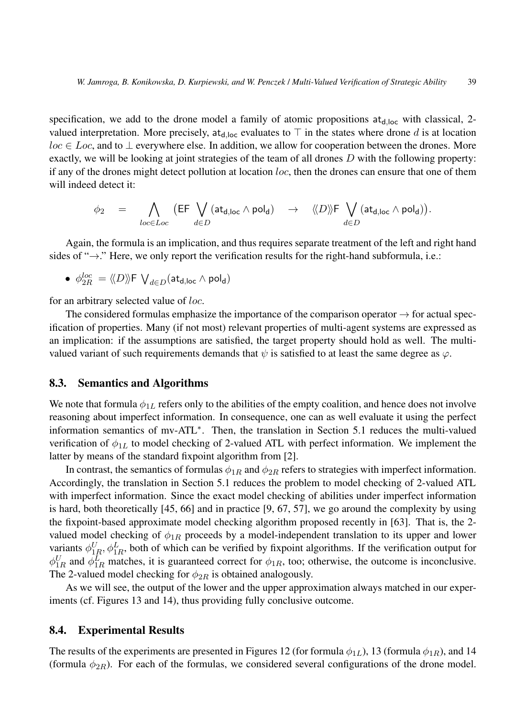specification, we add to the drone model a family of atomic propositions  $at_{d,loc}$  with classical, 2valued interpretation. More precisely,  $a_{\text{td,loc}}$  evaluates to  $\top$  in the states where drone d is at location  $loc \in Loc$ , and to  $\perp$  everywhere else. In addition, we allow for cooperation between the drones. More exactly, we will be looking at joint strategies of the team of all drones  $D$  with the following property: if any of the drones might detect pollution at location  $loc$ , then the drones can ensure that one of them will indeed detect it:

$$
\phi_2 = \bigwedge_{loc \in Loc} \left( \text{EF } \bigvee_{d \in D} (\text{at}_{d,loc} \wedge \text{pol}_d) \right) \rightarrow \langle \langle D \rangle \rangle \text{F } \bigvee_{d \in D} (\text{at}_{d,loc} \wedge \text{pol}_d) \right).
$$

Again, the formula is an implication, and thus requires separate treatment of the left and right hand sides of " $\rightarrow$ ." Here, we only report the verification results for the right-hand subformula, i.e.:

$$
\bullet \ \ \phi^{loc}_{2R} \ = \langle\!\langle D \rangle\!\rangle \mathsf{F} \ \bigvee_{d \in D} (\mathsf{at}_{\mathsf{d},\mathsf{loc}} \wedge \mathsf{pol}_{\mathsf{d}})
$$

for an arbitrary selected value of loc.

The considered formulas emphasize the importance of the comparison operator  $\rightarrow$  for actual specification of properties. Many (if not most) relevant properties of multi-agent systems are expressed as an implication: if the assumptions are satisfied, the target property should hold as well. The multivalued variant of such requirements demands that  $\psi$  is satisfied to at least the same degree as  $\varphi$ .

## 8.3. Semantics and Algorithms

We note that formula  $\phi_{1L}$  refers only to the abilities of the empty coalition, and hence does not involve reasoning about imperfect information. In consequence, one can as well evaluate it using the perfect information semantics of mv-ATL<sup>∗</sup> . Then, the translation in Section 5.1 reduces the multi-valued verification of  $\phi_{1L}$  to model checking of 2-valued ATL with perfect information. We implement the latter by means of the standard fixpoint algorithm from [2].

In contrast, the semantics of formulas  $\phi_{1R}$  and  $\phi_{2R}$  refers to strategies with imperfect information. Accordingly, the translation in Section 5.1 reduces the problem to model checking of 2-valued ATL with imperfect information. Since the exact model checking of abilities under imperfect information is hard, both theoretically [45, 66] and in practice [9, 67, 57], we go around the complexity by using the fixpoint-based approximate model checking algorithm proposed recently in [63]. That is, the 2 valued model checking of  $\phi_{1R}$  proceeds by a model-independent translation to its upper and lower variants  $\phi_{1R}^U, \phi_{1R}^L$ , both of which can be verified by fixpoint algorithms. If the verification output for  $\phi_{1R}^U$  and  $\phi_{1R}^L$  matches, it is guaranteed correct for  $\phi_{1R}$ , too; otherwise, the outcome is inconclusive. The 2-valued model checking for  $\phi_{2R}$  is obtained analogously.

As we will see, the output of the lower and the upper approximation always matched in our experiments (cf. Figures 13 and 14), thus providing fully conclusive outcome.

#### 8.4. Experimental Results

The results of the experiments are presented in Figures 12 (for formula  $\phi_{1L}$ ), 13 (formula  $\phi_{1R}$ ), and 14 (formula  $\phi_{2R}$ ). For each of the formulas, we considered several configurations of the drone model.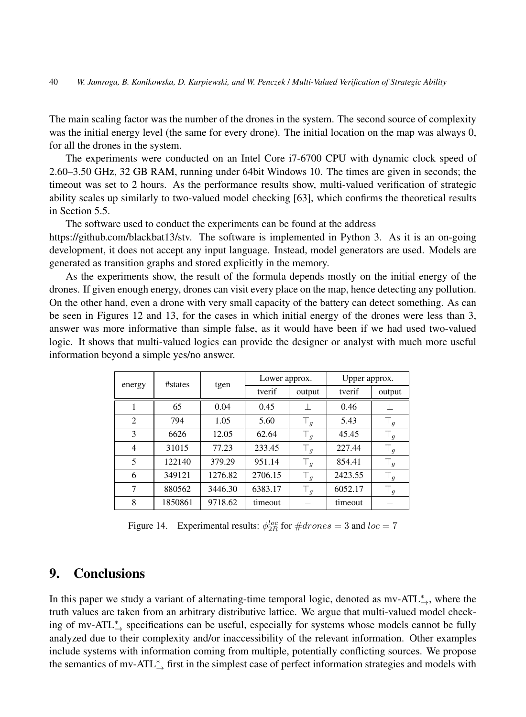The main scaling factor was the number of the drones in the system. The second source of complexity was the initial energy level (the same for every drone). The initial location on the map was always 0, for all the drones in the system.

The experiments were conducted on an Intel Core i7-6700 CPU with dynamic clock speed of 2.60–3.50 GHz, 32 GB RAM, running under 64bit Windows 10. The times are given in seconds; the timeout was set to 2 hours. As the performance results show, multi-valued verification of strategic ability scales up similarly to two-valued model checking [63], which confirms the theoretical results in Section 5.5.

The software used to conduct the experiments can be found at the address

https://github.com/blackbat13/stv. The software is implemented in Python 3. As it is an on-going development, it does not accept any input language. Instead, model generators are used. Models are generated as transition graphs and stored explicitly in the memory.

As the experiments show, the result of the formula depends mostly on the initial energy of the drones. If given enough energy, drones can visit every place on the map, hence detecting any pollution. On the other hand, even a drone with very small capacity of the battery can detect something. As can be seen in Figures 12 and 13, for the cases in which initial energy of the drones were less than 3, answer was more informative than simple false, as it would have been if we had used two-valued logic. It shows that multi-valued logics can provide the designer or analyst with much more useful information beyond a simple yes/no answer.

| energy         | #states | tgen    | Lower approx. |          | Upper approx. |          |
|----------------|---------|---------|---------------|----------|---------------|----------|
|                |         |         | tverif        | output   | tverif        | output   |
|                | 65      | 0.04    | 0.45          |          | 0.46          |          |
| 2              | 794     | 1.05    | 5.60          | $\top_g$ | 5.43          | $\top_g$ |
| 3              | 6626    | 12.05   | 62.64         | $\top_g$ | 45.45         | $\top_g$ |
| $\overline{4}$ | 31015   | 77.23   | 233.45        | $\top_q$ | 227.44        | $\top_g$ |
| 5              | 122140  | 379.29  | 951.14        | $\top_g$ | 854.41        | $\top_g$ |
| 6              | 349121  | 1276.82 | 2706.15       | $\top_g$ | 2423.55       | $\top_g$ |
| 7              | 880562  | 3446.30 | 6383.17       | $\top_g$ | 6052.17       | $\top_g$ |
| 8              | 1850861 | 9718.62 | timeout       |          | timeout       |          |

Figure 14. Experimental results:  $\phi_{2R}^{loc}$  for  $\#drones = 3$  and  $loc = 7$ 

# 9. Conclusions

In this paper we study a variant of alternating-time temporal logic, denoted as mv-ATL<sup>\*</sup><sub>→</sub>, where the truth values are taken from an arbitrary distributive lattice. We argue that multi-valued model checking of mv-ATL<sup>∗</sup> <sup>→</sup> specifications can be useful, especially for systems whose models cannot be fully analyzed due to their complexity and/or inaccessibility of the relevant information. Other examples include systems with information coming from multiple, potentially conflicting sources. We propose the semantics of mv-ATL<sup>\*</sup>, first in the simplest case of perfect information strategies and models with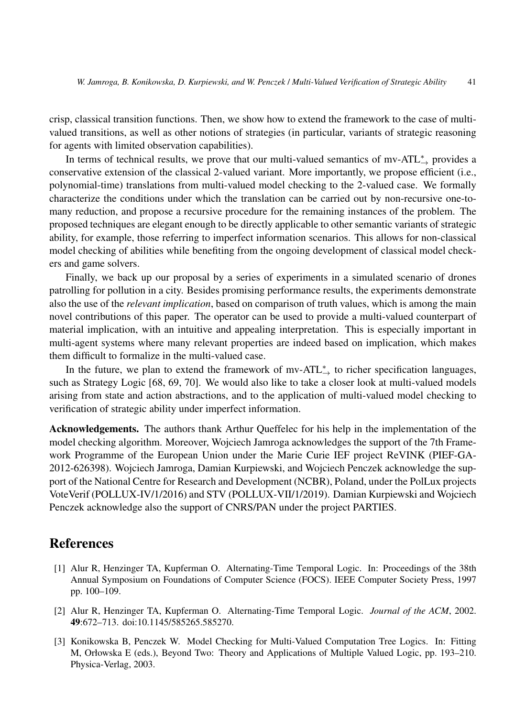crisp, classical transition functions. Then, we show how to extend the framework to the case of multivalued transitions, as well as other notions of strategies (in particular, variants of strategic reasoning for agents with limited observation capabilities).

In terms of technical results, we prove that our multi-valued semantics of mv-ATL<sup>\*</sup><sub>→</sub> provides a conservative extension of the classical 2-valued variant. More importantly, we propose efficient (i.e., polynomial-time) translations from multi-valued model checking to the 2-valued case. We formally characterize the conditions under which the translation can be carried out by non-recursive one-tomany reduction, and propose a recursive procedure for the remaining instances of the problem. The proposed techniques are elegant enough to be directly applicable to other semantic variants of strategic ability, for example, those referring to imperfect information scenarios. This allows for non-classical model checking of abilities while benefiting from the ongoing development of classical model checkers and game solvers.

Finally, we back up our proposal by a series of experiments in a simulated scenario of drones patrolling for pollution in a city. Besides promising performance results, the experiments demonstrate also the use of the *relevant implication*, based on comparison of truth values, which is among the main novel contributions of this paper. The operator can be used to provide a multi-valued counterpart of material implication, with an intuitive and appealing interpretation. This is especially important in multi-agent systems where many relevant properties are indeed based on implication, which makes them difficult to formalize in the multi-valued case.

In the future, we plan to extend the framework of mv-ATL<sup>\*</sup> to richer specification languages, such as Strategy Logic [68, 69, 70]. We would also like to take a closer look at multi-valued models arising from state and action abstractions, and to the application of multi-valued model checking to verification of strategic ability under imperfect information.

Acknowledgements. The authors thank Arthur Queffelec for his help in the implementation of the model checking algorithm. Moreover, Wojciech Jamroga acknowledges the support of the 7th Framework Programme of the European Union under the Marie Curie IEF project ReVINK (PIEF-GA-2012-626398). Wojciech Jamroga, Damian Kurpiewski, and Wojciech Penczek acknowledge the support of the National Centre for Research and Development (NCBR), Poland, under the PolLux projects VoteVerif (POLLUX-IV/1/2016) and STV (POLLUX-VII/1/2019). Damian Kurpiewski and Wojciech Penczek acknowledge also the support of CNRS/PAN under the project PARTIES.

# References

- [1] Alur R, Henzinger TA, Kupferman O. Alternating-Time Temporal Logic. In: Proceedings of the 38th Annual Symposium on Foundations of Computer Science (FOCS). IEEE Computer Society Press, 1997 pp. 100–109.
- [2] Alur R, Henzinger TA, Kupferman O. Alternating-Time Temporal Logic. *Journal of the ACM*, 2002. 49:672–713. doi:10.1145/585265.585270.
- [3] Konikowska B, Penczek W. Model Checking for Multi-Valued Computation Tree Logics. In: Fitting M, Orłowska E (eds.), Beyond Two: Theory and Applications of Multiple Valued Logic, pp. 193–210. Physica-Verlag, 2003.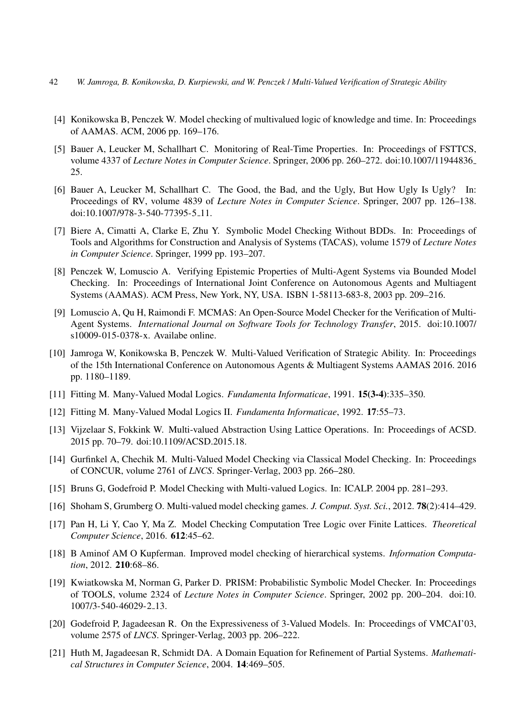- 42 *W. Jamroga, B. Konikowska, D. Kurpiewski, and W. Penczek* / *Multi-Valued Verification of Strategic Ability*
- [4] Konikowska B, Penczek W. Model checking of multivalued logic of knowledge and time. In: Proceedings of AAMAS. ACM, 2006 pp. 169–176.
- [5] Bauer A, Leucker M, Schallhart C. Monitoring of Real-Time Properties. In: Proceedings of FSTTCS, volume 4337 of *Lecture Notes in Computer Science*. Springer, 2006 pp. 260–272. doi:10.1007/11944836 25.
- [6] Bauer A, Leucker M, Schallhart C. The Good, the Bad, and the Ugly, But How Ugly Is Ugly? In: Proceedings of RV, volume 4839 of *Lecture Notes in Computer Science*. Springer, 2007 pp. 126–138. doi:10.1007/978-3-540-77395-5 11.
- [7] Biere A, Cimatti A, Clarke E, Zhu Y. Symbolic Model Checking Without BDDs. In: Proceedings of Tools and Algorithms for Construction and Analysis of Systems (TACAS), volume 1579 of *Lecture Notes in Computer Science*. Springer, 1999 pp. 193–207.
- [8] Penczek W, Lomuscio A. Verifying Epistemic Properties of Multi-Agent Systems via Bounded Model Checking. In: Proceedings of International Joint Conference on Autonomous Agents and Multiagent Systems (AAMAS). ACM Press, New York, NY, USA. ISBN 1-58113-683-8, 2003 pp. 209–216.
- [9] Lomuscio A, Qu H, Raimondi F. MCMAS: An Open-Source Model Checker for the Verification of Multi-Agent Systems. *International Journal on Software Tools for Technology Transfer*, 2015. doi:10.1007/ s10009-015-0378-x. Availabe online.
- [10] Jamroga W, Konikowska B, Penczek W. Multi-Valued Verification of Strategic Ability. In: Proceedings of the 15th International Conference on Autonomous Agents & Multiagent Systems AAMAS 2016. 2016 pp. 1180–1189.
- [11] Fitting M. Many-Valued Modal Logics. *Fundamenta Informaticae*, 1991. 15(3-4):335–350.
- [12] Fitting M. Many-Valued Modal Logics II. *Fundamenta Informaticae*, 1992. 17:55–73.
- [13] Vijzelaar S, Fokkink W. Multi-valued Abstraction Using Lattice Operations. In: Proceedings of ACSD. 2015 pp. 70–79. doi:10.1109/ACSD.2015.18.
- [14] Gurfinkel A, Chechik M. Multi-Valued Model Checking via Classical Model Checking. In: Proceedings of CONCUR, volume 2761 of *LNCS*. Springer-Verlag, 2003 pp. 266–280.
- [15] Bruns G, Godefroid P. Model Checking with Multi-valued Logics. In: ICALP. 2004 pp. 281–293.
- [16] Shoham S, Grumberg O. Multi-valued model checking games. *J. Comput. Syst. Sci.*, 2012. 78(2):414–429.
- [17] Pan H, Li Y, Cao Y, Ma Z. Model Checking Computation Tree Logic over Finite Lattices. *Theoretical Computer Science*, 2016. 612:45–62.
- [18] B Aminof AM O Kupferman. Improved model checking of hierarchical systems. *Information Computation*, 2012. 210:68–86.
- [19] Kwiatkowska M, Norman G, Parker D. PRISM: Probabilistic Symbolic Model Checker. In: Proceedings of TOOLS, volume 2324 of *Lecture Notes in Computer Science*. Springer, 2002 pp. 200–204. doi:10. 1007/3-540-46029-2 13.
- [20] Godefroid P, Jagadeesan R. On the Expressiveness of 3-Valued Models. In: Proceedings of VMCAI'03, volume 2575 of *LNCS*. Springer-Verlag, 2003 pp. 206–222.
- [21] Huth M, Jagadeesan R, Schmidt DA. A Domain Equation for Refinement of Partial Systems. *Mathematical Structures in Computer Science*, 2004. 14:469–505.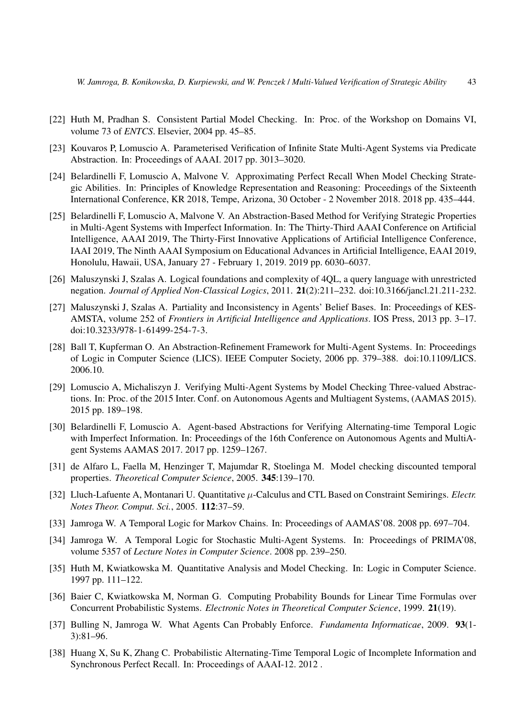- [22] Huth M, Pradhan S. Consistent Partial Model Checking. In: Proc. of the Workshop on Domains VI, volume 73 of *ENTCS*. Elsevier, 2004 pp. 45–85.
- [23] Kouvaros P, Lomuscio A. Parameterised Verification of Infinite State Multi-Agent Systems via Predicate Abstraction. In: Proceedings of AAAI. 2017 pp. 3013–3020.
- [24] Belardinelli F, Lomuscio A, Malvone V. Approximating Perfect Recall When Model Checking Strategic Abilities. In: Principles of Knowledge Representation and Reasoning: Proceedings of the Sixteenth International Conference, KR 2018, Tempe, Arizona, 30 October - 2 November 2018. 2018 pp. 435–444.
- [25] Belardinelli F, Lomuscio A, Malvone V. An Abstraction-Based Method for Verifying Strategic Properties in Multi-Agent Systems with Imperfect Information. In: The Thirty-Third AAAI Conference on Artificial Intelligence, AAAI 2019, The Thirty-First Innovative Applications of Artificial Intelligence Conference, IAAI 2019, The Ninth AAAI Symposium on Educational Advances in Artificial Intelligence, EAAI 2019, Honolulu, Hawaii, USA, January 27 - February 1, 2019. 2019 pp. 6030–6037.
- [26] Maluszynski J, Szalas A. Logical foundations and complexity of 4QL, a query language with unrestricted negation. *Journal of Applied Non-Classical Logics*, 2011. 21(2):211–232. doi:10.3166/jancl.21.211-232.
- [27] Maluszynski J, Szalas A. Partiality and Inconsistency in Agents' Belief Bases. In: Proceedings of KES-AMSTA, volume 252 of *Frontiers in Artificial Intelligence and Applications*. IOS Press, 2013 pp. 3–17. doi:10.3233/978-1-61499-254-7-3.
- [28] Ball T, Kupferman O. An Abstraction-Refinement Framework for Multi-Agent Systems. In: Proceedings of Logic in Computer Science (LICS). IEEE Computer Society, 2006 pp. 379–388. doi:10.1109/LICS. 2006.10.
- [29] Lomuscio A, Michaliszyn J. Verifying Multi-Agent Systems by Model Checking Three-valued Abstractions. In: Proc. of the 2015 Inter. Conf. on Autonomous Agents and Multiagent Systems, (AAMAS 2015). 2015 pp. 189–198.
- [30] Belardinelli F, Lomuscio A. Agent-based Abstractions for Verifying Alternating-time Temporal Logic with Imperfect Information. In: Proceedings of the 16th Conference on Autonomous Agents and MultiAgent Systems AAMAS 2017. 2017 pp. 1259–1267.
- [31] de Alfaro L, Faella M, Henzinger T, Majumdar R, Stoelinga M. Model checking discounted temporal properties. *Theoretical Computer Science*, 2005. 345:139–170.
- [32] Lluch-Lafuente A, Montanari U. Quantitative  $\mu$ -Calculus and CTL Based on Constraint Semirings. *Electr. Notes Theor. Comput. Sci.*, 2005. 112:37–59.
- [33] Jamroga W. A Temporal Logic for Markov Chains. In: Proceedings of AAMAS'08. 2008 pp. 697–704.
- [34] Jamroga W. A Temporal Logic for Stochastic Multi-Agent Systems. In: Proceedings of PRIMA'08, volume 5357 of *Lecture Notes in Computer Science*. 2008 pp. 239–250.
- [35] Huth M, Kwiatkowska M. Quantitative Analysis and Model Checking. In: Logic in Computer Science. 1997 pp. 111–122.
- [36] Baier C, Kwiatkowska M, Norman G. Computing Probability Bounds for Linear Time Formulas over Concurrent Probabilistic Systems. *Electronic Notes in Theoretical Computer Science*, 1999. 21(19).
- [37] Bulling N, Jamroga W. What Agents Can Probably Enforce. *Fundamenta Informaticae*, 2009. 93(1- 3):81–96.
- [38] Huang X, Su K, Zhang C. Probabilistic Alternating-Time Temporal Logic of Incomplete Information and Synchronous Perfect Recall. In: Proceedings of AAAI-12. 2012 .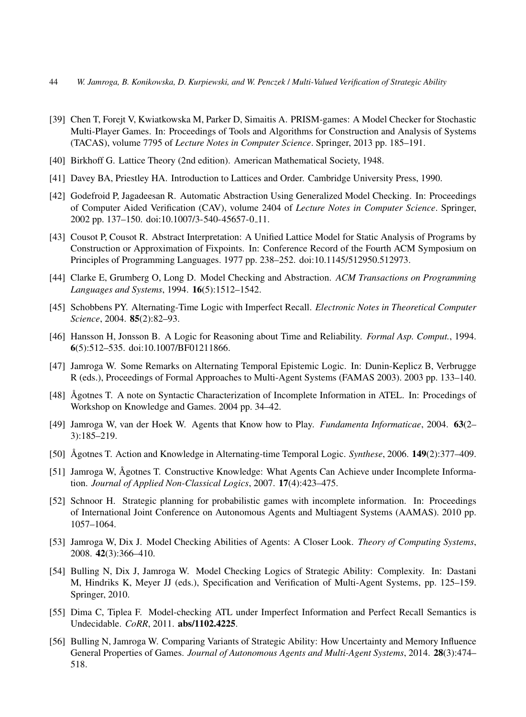- [39] Chen T, Forejt V, Kwiatkowska M, Parker D, Simaitis A. PRISM-games: A Model Checker for Stochastic Multi-Player Games. In: Proceedings of Tools and Algorithms for Construction and Analysis of Systems (TACAS), volume 7795 of *Lecture Notes in Computer Science*. Springer, 2013 pp. 185–191.
- [40] Birkhoff G. Lattice Theory (2nd edition). American Mathematical Society, 1948.
- [41] Davey BA, Priestley HA. Introduction to Lattices and Order. Cambridge University Press, 1990.
- [42] Godefroid P, Jagadeesan R. Automatic Abstraction Using Generalized Model Checking. In: Proceedings of Computer Aided Verification (CAV), volume 2404 of *Lecture Notes in Computer Science*. Springer, 2002 pp. 137–150. doi:10.1007/3-540-45657-0 11.
- [43] Cousot P, Cousot R. Abstract Interpretation: A Unified Lattice Model for Static Analysis of Programs by Construction or Approximation of Fixpoints. In: Conference Record of the Fourth ACM Symposium on Principles of Programming Languages. 1977 pp. 238–252. doi:10.1145/512950.512973.
- [44] Clarke E, Grumberg O, Long D. Model Checking and Abstraction. *ACM Transactions on Programming Languages and Systems*, 1994. 16(5):1512–1542.
- [45] Schobbens PY. Alternating-Time Logic with Imperfect Recall. *Electronic Notes in Theoretical Computer Science*, 2004. 85(2):82–93.
- [46] Hansson H, Jonsson B. A Logic for Reasoning about Time and Reliability. *Formal Asp. Comput.*, 1994. 6(5):512–535. doi:10.1007/BF01211866.
- [47] Jamroga W. Some Remarks on Alternating Temporal Epistemic Logic. In: Dunin-Keplicz B, Verbrugge R (eds.), Proceedings of Formal Approaches to Multi-Agent Systems (FAMAS 2003). 2003 pp. 133–140.
- [48] Ågotnes T. A note on Syntactic Characterization of Incomplete Information in ATEL. In: Procedings of Workshop on Knowledge and Games. 2004 pp. 34–42.
- [49] Jamroga W, van der Hoek W. Agents that Know how to Play. *Fundamenta Informaticae*, 2004. 63(2– 3):185–219.
- [50] Ågotnes T. Action and Knowledge in Alternating-time Temporal Logic. *Synthese*, 2006. **149**(2):377–409.
- [51] Jamroga W, Ågotnes T. Constructive Knowledge: What Agents Can Achieve under Incomplete Information. *Journal of Applied Non-Classical Logics*, 2007. 17(4):423–475.
- [52] Schnoor H. Strategic planning for probabilistic games with incomplete information. In: Proceedings of International Joint Conference on Autonomous Agents and Multiagent Systems (AAMAS). 2010 pp. 1057–1064.
- [53] Jamroga W, Dix J. Model Checking Abilities of Agents: A Closer Look. *Theory of Computing Systems*, 2008. 42(3):366–410.
- [54] Bulling N, Dix J, Jamroga W. Model Checking Logics of Strategic Ability: Complexity. In: Dastani M, Hindriks K, Meyer JJ (eds.), Specification and Verification of Multi-Agent Systems, pp. 125–159. Springer, 2010.
- [55] Dima C, Tiplea F. Model-checking ATL under Imperfect Information and Perfect Recall Semantics is Undecidable. *CoRR*, 2011. abs/1102.4225.
- [56] Bulling N, Jamroga W. Comparing Variants of Strategic Ability: How Uncertainty and Memory Influence General Properties of Games. *Journal of Autonomous Agents and Multi-Agent Systems*, 2014. 28(3):474– 518.